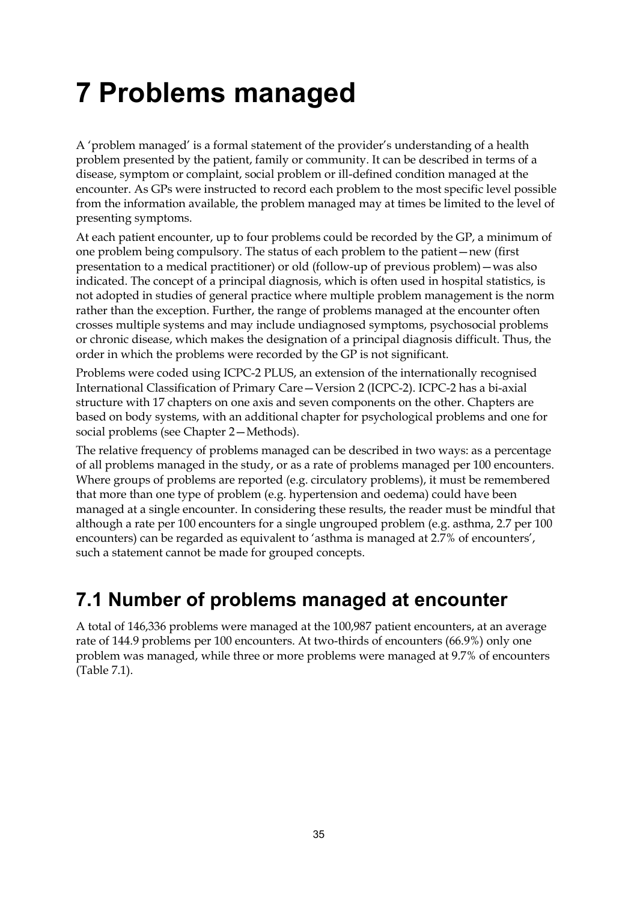# **7 Problems managed**

A 'problem managed' is a formal statement of the provider's understanding of a health problem presented by the patient, family or community. It can be described in terms of a disease, symptom or complaint, social problem or ill-defined condition managed at the encounter. As GPs were instructed to record each problem to the most specific level possible from the information available, the problem managed may at times be limited to the level of presenting symptoms.

At each patient encounter, up to four problems could be recorded by the GP, a minimum of one problem being compulsory. The status of each problem to the patient—new (first presentation to a medical practitioner) or old (follow-up of previous problem)—was also indicated. The concept of a principal diagnosis, which is often used in hospital statistics, is not adopted in studies of general practice where multiple problem management is the norm rather than the exception. Further, the range of problems managed at the encounter often crosses multiple systems and may include undiagnosed symptoms, psychosocial problems or chronic disease, which makes the designation of a principal diagnosis difficult. Thus, the order in which the problems were recorded by the GP is not significant.

Problems were coded using ICPC-2 PLUS, an extension of the internationally recognised International Classification of Primary Care—Version 2 (ICPC-2). ICPC-2 has a bi-axial structure with 17 chapters on one axis and seven components on the other. Chapters are based on body systems, with an additional chapter for psychological problems and one for social problems (see Chapter 2—Methods).

The relative frequency of problems managed can be described in two ways: as a percentage of all problems managed in the study, or as a rate of problems managed per 100 encounters. Where groups of problems are reported (e.g. circulatory problems), it must be remembered that more than one type of problem (e.g. hypertension and oedema) could have been managed at a single encounter. In considering these results, the reader must be mindful that although a rate per 100 encounters for a single ungrouped problem (e.g. asthma, 2.7 per 100 encounters) can be regarded as equivalent to 'asthma is managed at 2.7% of encounters', such a statement cannot be made for grouped concepts.

# **7.1 Number of problems managed at encounter**

A total of 146,336 problems were managed at the 100,987 patient encounters, at an average rate of 144.9 problems per 100 encounters. At two-thirds of encounters (66.9%) only one problem was managed, while three or more problems were managed at 9.7% of encounters (Table 7.1).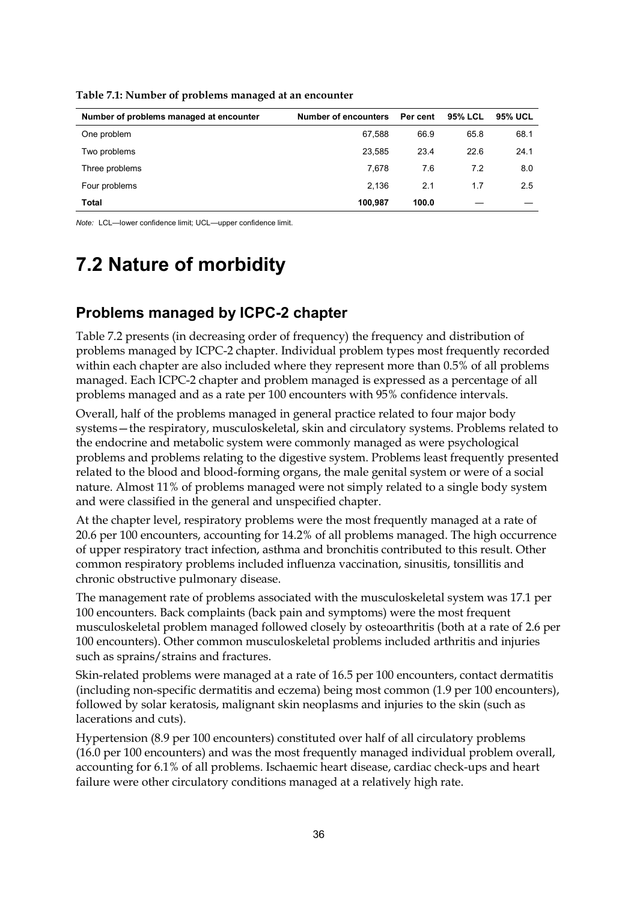| Number of problems managed at encounter | <b>Number of encounters</b> | Per cent | <b>95% LCL</b> | 95% UCL |
|-----------------------------------------|-----------------------------|----------|----------------|---------|
| One problem                             | 67,588                      | 66.9     | 65.8           | 68.1    |
| Two problems                            | 23,585                      | 23.4     | 22.6           | 24.1    |
| Three problems                          | 7.678                       | 7.6      | 7.2            | 8.0     |
| Four problems                           | 2.136                       | 2.1      | 1.7            | 2.5     |
| Total                                   | 100.987                     | 100.0    |                |         |

**Table 7.1: Number of problems managed at an encounter**

*Note:* LCL—lower confidence limit; UCL—upper confidence limit.

# **7.2 Nature of morbidity**

### **Problems managed by ICPC-2 chapter**

Table 7.2 presents (in decreasing order of frequency) the frequency and distribution of problems managed by ICPC-2 chapter. Individual problem types most frequently recorded within each chapter are also included where they represent more than 0.5% of all problems managed. Each ICPC-2 chapter and problem managed is expressed as a percentage of all problems managed and as a rate per 100 encounters with 95% confidence intervals.

Overall, half of the problems managed in general practice related to four major body systems—the respiratory, musculoskeletal, skin and circulatory systems. Problems related to the endocrine and metabolic system were commonly managed as were psychological problems and problems relating to the digestive system. Problems least frequently presented related to the blood and blood-forming organs, the male genital system or were of a social nature. Almost 11% of problems managed were not simply related to a single body system and were classified in the general and unspecified chapter.

At the chapter level, respiratory problems were the most frequently managed at a rate of 20.6 per 100 encounters, accounting for 14.2% of all problems managed. The high occurrence of upper respiratory tract infection, asthma and bronchitis contributed to this result. Other common respiratory problems included influenza vaccination, sinusitis, tonsillitis and chronic obstructive pulmonary disease.

The management rate of problems associated with the musculoskeletal system was 17.1 per 100 encounters. Back complaints (back pain and symptoms) were the most frequent musculoskeletal problem managed followed closely by osteoarthritis (both at a rate of 2.6 per 100 encounters). Other common musculoskeletal problems included arthritis and injuries such as sprains/strains and fractures.

Skin-related problems were managed at a rate of 16.5 per 100 encounters, contact dermatitis (including non-specific dermatitis and eczema) being most common (1.9 per 100 encounters), followed by solar keratosis, malignant skin neoplasms and injuries to the skin (such as lacerations and cuts).

Hypertension (8.9 per 100 encounters) constituted over half of all circulatory problems (16.0 per 100 encounters) and was the most frequently managed individual problem overall, accounting for 6.1% of all problems. Ischaemic heart disease, cardiac check-ups and heart failure were other circulatory conditions managed at a relatively high rate.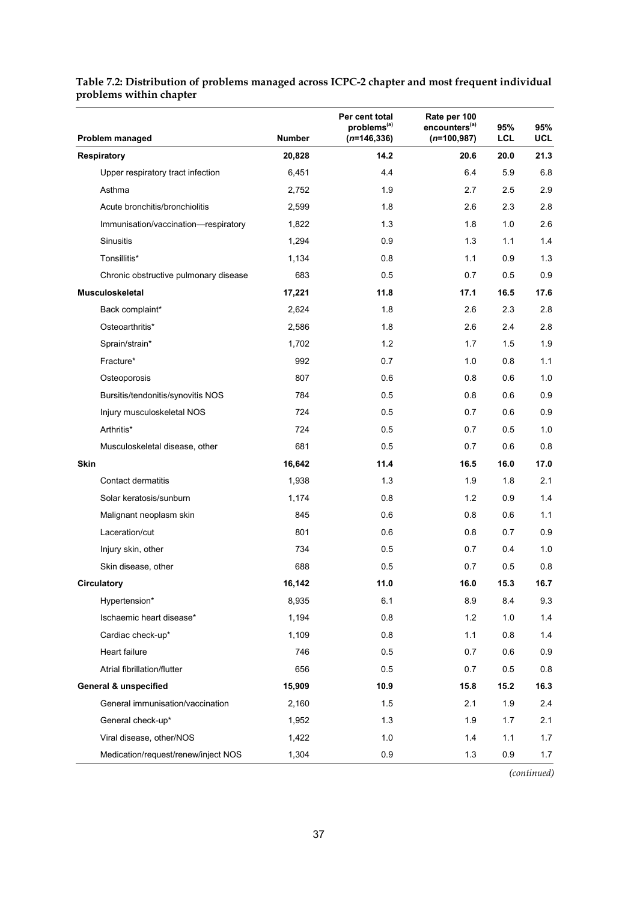| Problem managed                       | <b>Number</b> | Per cent total<br>problems <sup>(a)</sup><br>$(n=146, 336)$ | Rate per 100<br>encounters <sup>(a)</sup><br>$(n=100, 987)$ | 95%<br>LCL | 95%<br><b>UCL</b> |
|---------------------------------------|---------------|-------------------------------------------------------------|-------------------------------------------------------------|------------|-------------------|
| <b>Respiratory</b>                    | 20,828        | 14.2                                                        | 20.6                                                        | 20.0       | 21.3              |
| Upper respiratory tract infection     | 6,451         | 4.4                                                         | 6.4                                                         | 5.9        | 6.8               |
| Asthma                                | 2,752         | 1.9                                                         | 2.7                                                         | 2.5        | 2.9               |
| Acute bronchitis/bronchiolitis        | 2,599         | 1.8                                                         | 2.6                                                         | 2.3        | 2.8               |
| Immunisation/vaccination-respiratory  | 1,822         | 1.3                                                         | 1.8                                                         | 1.0        | 2.6               |
| Sinusitis                             | 1,294         | 0.9                                                         | 1.3                                                         | 1.1        | 1.4               |
| Tonsillitis*                          | 1,134         | 0.8                                                         | 1.1                                                         | 0.9        | 1.3               |
| Chronic obstructive pulmonary disease | 683           | 0.5                                                         | 0.7                                                         | 0.5        | 0.9               |
| Musculoskeletal                       | 17,221        | 11.8                                                        | 17.1                                                        | 16.5       | 17.6              |
| Back complaint*                       | 2,624         | 1.8                                                         | 2.6                                                         | 2.3        | 2.8               |
| Osteoarthritis*                       | 2,586         | 1.8                                                         | 2.6                                                         | 2.4        | 2.8               |
| Sprain/strain*                        | 1,702         | 1.2                                                         | 1.7                                                         | 1.5        | 1.9               |
| Fracture*                             | 992           | 0.7                                                         | 1.0                                                         | 0.8        | 1.1               |
| Osteoporosis                          | 807           | 0.6                                                         | 0.8                                                         | 0.6        | 1.0               |
| Bursitis/tendonitis/synovitis NOS     | 784           | 0.5                                                         | 0.8                                                         | 0.6        | 0.9               |
| Injury musculoskeletal NOS            | 724           | 0.5                                                         | 0.7                                                         | 0.6        | 0.9               |
| Arthritis*                            | 724           | 0.5                                                         | 0.7                                                         | 0.5        | 1.0               |
| Musculoskeletal disease, other        | 681           | 0.5                                                         | 0.7                                                         | 0.6        | 0.8               |
| Skin                                  | 16,642        | 11.4                                                        | 16.5                                                        | 16.0       | 17.0              |
| Contact dermatitis                    | 1,938         | 1.3                                                         | 1.9                                                         | 1.8        | 2.1               |
| Solar keratosis/sunburn               | 1,174         | 0.8                                                         | 1.2                                                         | 0.9        | 1.4               |
| Malignant neoplasm skin               | 845           | 0.6                                                         | 0.8                                                         | 0.6        | 1.1               |
| Laceration/cut                        | 801           | 0.6                                                         | 0.8                                                         | 0.7        | 0.9               |
| Injury skin, other                    | 734           | 0.5                                                         | 0.7                                                         | 0.4        | 1.0               |
| Skin disease, other                   | 688           | 0.5                                                         | 0.7                                                         | 0.5        | 0.8               |
| Circulatory                           | 16,142        | 11.0                                                        | 16.0                                                        | 15.3       | 16.7              |
| Hypertension*                         | 8,935         | 6.1                                                         | 8.9                                                         | 8.4        | 9.3               |
| Ischaemic heart disease*              | 1,194         | 0.8                                                         | 1.2                                                         | 1.0        | 1.4               |
| Cardiac check-up*                     | 1,109         | 0.8                                                         | 1.1                                                         | 0.8        | 1.4               |
| Heart failure                         | 746           | 0.5                                                         | 0.7                                                         | 0.6        | 0.9               |
| Atrial fibrillation/flutter           | 656           | 0.5                                                         | 0.7                                                         | 0.5        | 0.8               |
| <b>General &amp; unspecified</b>      | 15,909        | 10.9                                                        | 15.8                                                        | 15.2       | 16.3              |
| General immunisation/vaccination      | 2,160         | 1.5                                                         | 2.1                                                         | 1.9        | 2.4               |
| General check-up*                     | 1,952         | 1.3                                                         | 1.9                                                         | 1.7        | 2.1               |
| Viral disease, other/NOS              | 1,422         | 1.0                                                         | 1.4                                                         | 1.1        | 1.7               |
| Medication/request/renew/inject NOS   | 1,304         | 0.9                                                         | 1.3                                                         | 0.9        | 1.7               |

#### **Table 7.2: Distribution of problems managed across ICPC-2 chapter and most frequent individual problems within chapter**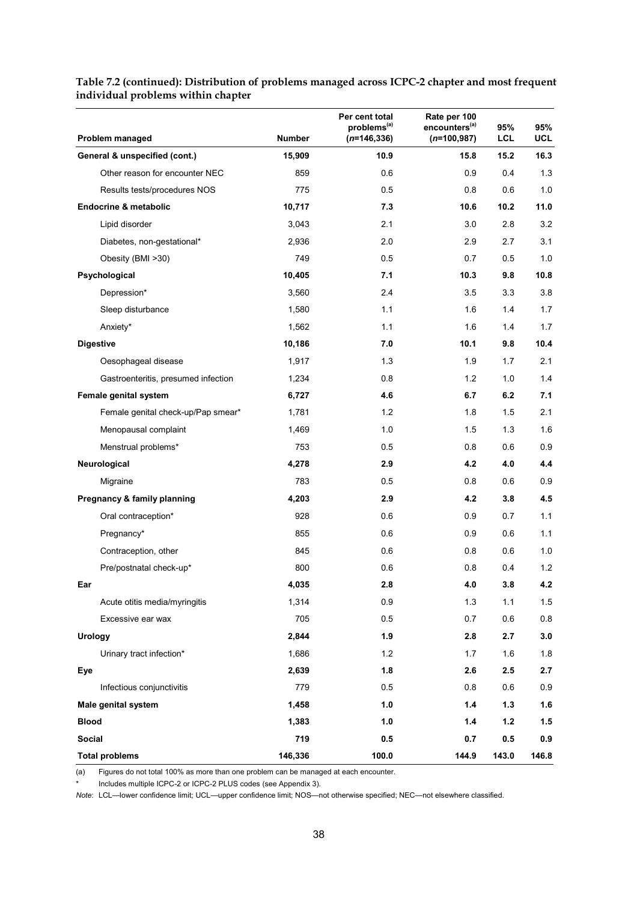| Problem managed                     | <b>Number</b> | Per cent total<br>problems <sup>(a)</sup><br>$(n=146,336)$ | Rate per 100<br>encounters <sup>(a)</sup><br>$(n=100, 987)$ | 95%<br>LCL | 95%<br>UCL |
|-------------------------------------|---------------|------------------------------------------------------------|-------------------------------------------------------------|------------|------------|
| General & unspecified (cont.)       | 15,909        | 10.9                                                       | 15.8                                                        | 15.2       | 16.3       |
| Other reason for encounter NEC      | 859           | 0.6                                                        | 0.9                                                         | 0.4        | 1.3        |
| Results tests/procedures NOS        | 775           | 0.5                                                        | 0.8                                                         | 0.6        | 1.0        |
| <b>Endocrine &amp; metabolic</b>    | 10,717        | 7.3                                                        | 10.6                                                        | 10.2       | 11.0       |
| Lipid disorder                      | 3,043         | 2.1                                                        | 3.0                                                         | 2.8        | 3.2        |
| Diabetes, non-gestational*          | 2,936         | 2.0                                                        | 2.9                                                         | 2.7        | 3.1        |
| Obesity (BMI >30)                   | 749           | 0.5                                                        | 0.7                                                         | 0.5        | 1.0        |
| Psychological                       | 10,405        | 7.1                                                        | 10.3                                                        | 9.8        | 10.8       |
| Depression*                         | 3,560         | 2.4                                                        | 3.5                                                         | 3.3        | 3.8        |
| Sleep disturbance                   | 1,580         | 1.1                                                        | 1.6                                                         | 1.4        | 1.7        |
| Anxiety*                            | 1,562         | 1.1                                                        | 1.6                                                         | 1.4        | 1.7        |
| <b>Digestive</b>                    | 10,186        | 7.0                                                        | 10.1                                                        | 9.8        | 10.4       |
| Oesophageal disease                 | 1,917         | 1.3                                                        | 1.9                                                         | 1.7        | 2.1        |
| Gastroenteritis, presumed infection | 1,234         | 0.8                                                        | 1.2                                                         | 1.0        | 1.4        |
| Female genital system               | 6,727         | 4.6                                                        | 6.7                                                         | 6.2        | 7.1        |
| Female genital check-up/Pap smear*  | 1,781         | 1.2                                                        | 1.8                                                         | 1.5        | 2.1        |
| Menopausal complaint                | 1,469         | 1.0                                                        | 1.5                                                         | 1.3        | 1.6        |
| Menstrual problems*                 | 753           | 0.5                                                        | 0.8                                                         | 0.6        | 0.9        |
| Neurological                        | 4,278         | 2.9                                                        | 4.2                                                         | 4.0        | 4.4        |
| Migraine                            | 783           | 0.5                                                        | 0.8                                                         | 0.6        | 0.9        |
| Pregnancy & family planning         | 4,203         | 2.9                                                        | 4.2                                                         | 3.8        | 4.5        |
| Oral contraception*                 | 928           | 0.6                                                        | 0.9                                                         | 0.7        | 1.1        |
| Pregnancy*                          | 855           | 0.6                                                        | 0.9                                                         | 0.6        | 1.1        |
| Contraception, other                | 845           | 0.6                                                        | 0.8                                                         | 0.6        | 1.0        |
| Pre/postnatal check-up*             | 800           | 0.6                                                        | 0.8                                                         | 0.4        | 1.2        |
| Ear                                 | 4,035         | 2.8                                                        | 4.0                                                         | 3.8        | 4.2        |
| Acute otitis media/myringitis       | 1,314         | 0.9                                                        | 1.3                                                         | 1.1        | 1.5        |
| Excessive ear wax                   | 705           | 0.5                                                        | 0.7                                                         | 0.6        | 0.8        |
| <b>Urology</b>                      | 2,844         | 1.9                                                        | 2.8                                                         | 2.7        | 3.0        |
| Urinary tract infection*            | 1,686         | 1.2                                                        | 1.7                                                         | 1.6        | 1.8        |
| Eye                                 | 2,639         | 1.8                                                        | 2.6                                                         | 2.5        | 2.7        |
| Infectious conjunctivitis           | 779           | 0.5                                                        | 0.8                                                         | 0.6        | 0.9        |
| Male genital system                 | 1,458         | 1.0                                                        | 1.4                                                         | 1.3        | 1.6        |
| <b>Blood</b>                        | 1,383         | 1.0                                                        | 1.4                                                         | $1.2$      | 1.5        |
| <b>Social</b>                       | 719           | 0.5                                                        | 0.7                                                         | 0.5        | 0.9        |
| <b>Total problems</b>               | 146,336       | 100.0                                                      | 144.9                                                       | 143.0      | 146.8      |

#### **Table 7.2 (continued): Distribution of problems managed across ICPC-2 chapter and most frequent individual problems within chapter**

(a) Figures do not total 100% as more than one problem can be managed at each encounter.

Includes multiple ICPC-2 or ICPC-2 PLUS codes (see Appendix 3).

*Note*: LCL—lower confidence limit; UCL—upper confidence limit; NOS—not otherwise specified; NEC—not elsewhere classified.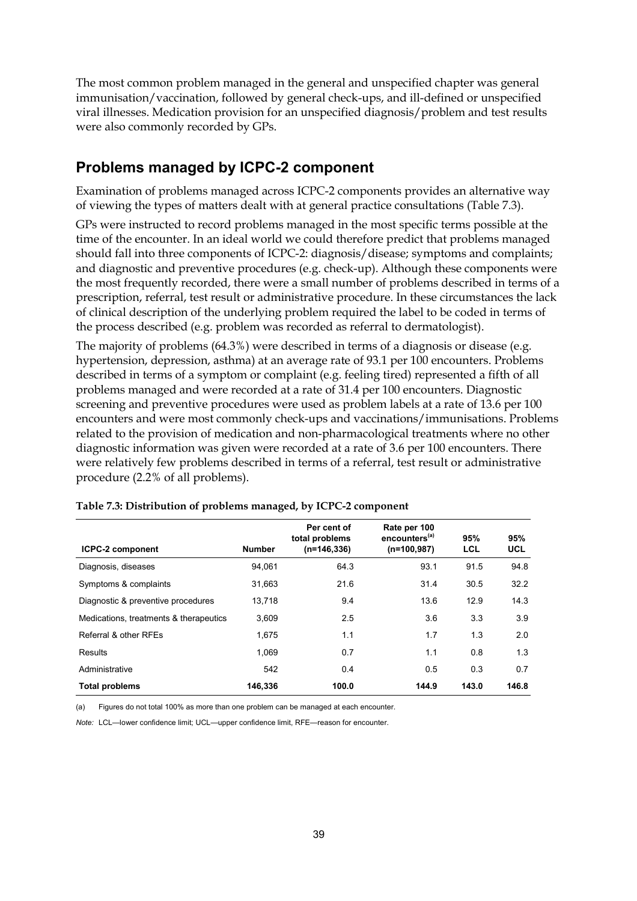The most common problem managed in the general and unspecified chapter was general immunisation/vaccination, followed by general check-ups, and ill-defined or unspecified viral illnesses. Medication provision for an unspecified diagnosis/problem and test results were also commonly recorded by GPs.

### **Problems managed by ICPC-2 component**

Examination of problems managed across ICPC-2 components provides an alternative way of viewing the types of matters dealt with at general practice consultations (Table 7.3).

GPs were instructed to record problems managed in the most specific terms possible at the time of the encounter. In an ideal world we could therefore predict that problems managed should fall into three components of ICPC-2: diagnosis/disease; symptoms and complaints; and diagnostic and preventive procedures (e.g. check-up). Although these components were the most frequently recorded, there were a small number of problems described in terms of a prescription, referral, test result or administrative procedure. In these circumstances the lack of clinical description of the underlying problem required the label to be coded in terms of the process described (e.g. problem was recorded as referral to dermatologist).

The majority of problems (64.3%) were described in terms of a diagnosis or disease (e.g. hypertension, depression, asthma) at an average rate of 93.1 per 100 encounters. Problems described in terms of a symptom or complaint (e.g. feeling tired) represented a fifth of all problems managed and were recorded at a rate of 31.4 per 100 encounters. Diagnostic screening and preventive procedures were used as problem labels at a rate of 13.6 per 100 encounters and were most commonly check-ups and vaccinations/immunisations. Problems related to the provision of medication and non-pharmacological treatments where no other diagnostic information was given were recorded at a rate of 3.6 per 100 encounters. There were relatively few problems described in terms of a referral, test result or administrative procedure (2.2% of all problems).

| <b>ICPC-2 component</b>                | <b>Number</b> | Per cent of<br>total problems<br>$(n=146,336)$ | Rate per 100<br>encounters <sup>(a)</sup><br>$(n=100,987)$ | 95%<br>LCL | 95%<br><b>UCL</b> |
|----------------------------------------|---------------|------------------------------------------------|------------------------------------------------------------|------------|-------------------|
| Diagnosis, diseases                    | 94.061        | 64.3                                           | 93.1                                                       | 91.5       | 94.8              |
| Symptoms & complaints                  | 31.663        | 21.6                                           | 31.4                                                       | 30.5       | 32.2              |
| Diagnostic & preventive procedures     | 13.718        | 9.4                                            | 13.6                                                       | 12.9       | 14.3              |
| Medications, treatments & therapeutics | 3.609         | 2.5                                            | 3.6                                                        | 3.3        | 3.9               |
| Referral & other RFEs                  | 1.675         | 1.1                                            | 1.7                                                        | 1.3        | 2.0               |
| Results                                | 1.069         | 0.7                                            | 1.1                                                        | 0.8        | 1.3               |
| Administrative                         | 542           | 0.4                                            | 0.5                                                        | 0.3        | 0.7               |
| <b>Total problems</b>                  | 146.336       | 100.0                                          | 144.9                                                      | 143.0      | 146.8             |

(a) Figures do not total 100% as more than one problem can be managed at each encounter.

*Note:* LCL—lower confidence limit; LICL—upper confidence limit, RFF—reason for encounter.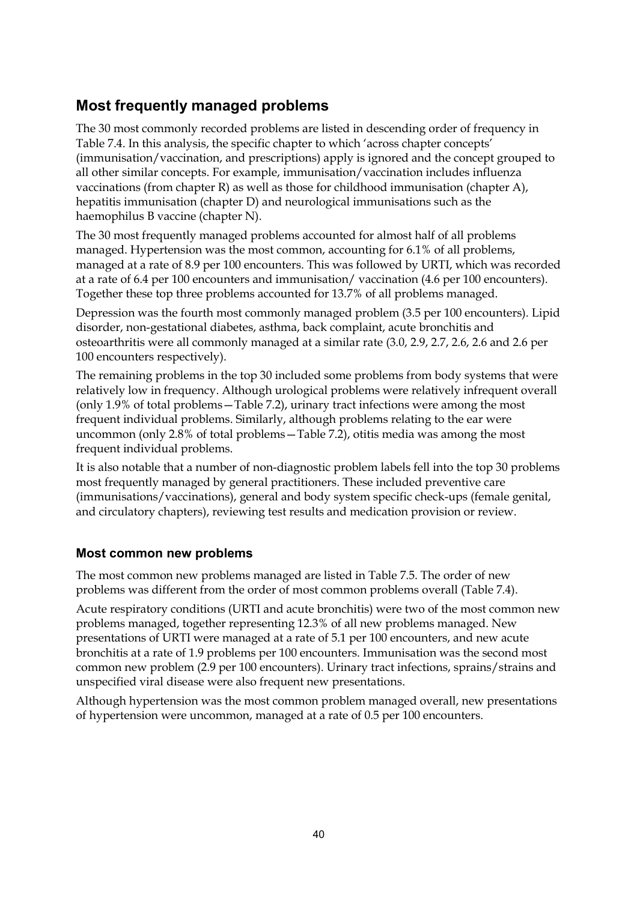### **Most frequently managed problems**

The 30 most commonly recorded problems are listed in descending order of frequency in Table 7.4. In this analysis, the specific chapter to which 'across chapter concepts' (immunisation/vaccination, and prescriptions) apply is ignored and the concept grouped to all other similar concepts. For example, immunisation/vaccination includes influenza vaccinations (from chapter R) as well as those for childhood immunisation (chapter A), hepatitis immunisation (chapter D) and neurological immunisations such as the haemophilus B vaccine (chapter N).

The 30 most frequently managed problems accounted for almost half of all problems managed. Hypertension was the most common, accounting for 6.1% of all problems, managed at a rate of 8.9 per 100 encounters. This was followed by URTI, which was recorded at a rate of 6.4 per 100 encounters and immunisation/ vaccination (4.6 per 100 encounters). Together these top three problems accounted for 13.7% of all problems managed.

Depression was the fourth most commonly managed problem (3.5 per 100 encounters). Lipid disorder, non-gestational diabetes, asthma, back complaint, acute bronchitis and osteoarthritis were all commonly managed at a similar rate (3.0, 2.9, 2.7, 2.6, 2.6 and 2.6 per 100 encounters respectively).

The remaining problems in the top 30 included some problems from body systems that were relatively low in frequency. Although urological problems were relatively infrequent overall (only 1.9% of total problems—Table 7.2), urinary tract infections were among the most frequent individual problems. Similarly, although problems relating to the ear were uncommon (only 2.8% of total problems—Table 7.2), otitis media was among the most frequent individual problems.

It is also notable that a number of non-diagnostic problem labels fell into the top 30 problems most frequently managed by general practitioners. These included preventive care (immunisations/vaccinations), general and body system specific check-ups (female genital, and circulatory chapters), reviewing test results and medication provision or review.

### **Most common new problems**

The most common new problems managed are listed in Table 7.5. The order of new problems was different from the order of most common problems overall (Table 7.4).

Acute respiratory conditions (URTI and acute bronchitis) were two of the most common new problems managed, together representing 12.3% of all new problems managed. New presentations of URTI were managed at a rate of 5.1 per 100 encounters, and new acute bronchitis at a rate of 1.9 problems per 100 encounters. Immunisation was the second most common new problem (2.9 per 100 encounters). Urinary tract infections, sprains/strains and unspecified viral disease were also frequent new presentations.

Although hypertension was the most common problem managed overall, new presentations of hypertension were uncommon, managed at a rate of 0.5 per 100 encounters.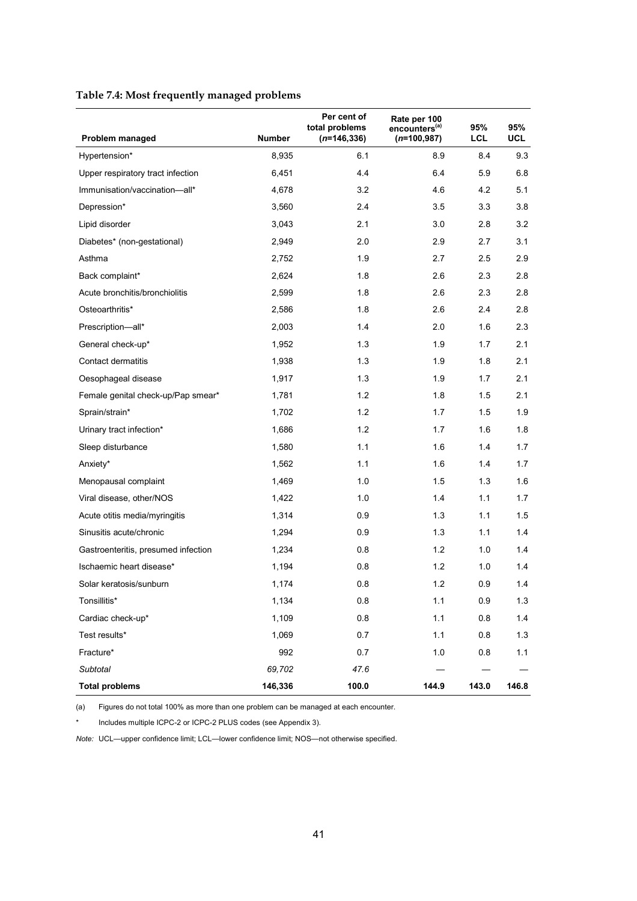#### **Table 7.4: Most frequently managed problems**

| Problem managed                     | <b>Number</b> | Per cent of<br>total problems<br>$(n=146, 336)$ | Rate per 100<br>encounters <sup>(a)</sup> | 95%<br>LCL | 95%<br>UCL |
|-------------------------------------|---------------|-------------------------------------------------|-------------------------------------------|------------|------------|
|                                     |               |                                                 | $(n=100, 987)$                            |            |            |
| Hypertension*                       | 8,935         | 6.1                                             | 8.9                                       | 8.4        | 9.3        |
| Upper respiratory tract infection   | 6,451         | 4.4                                             | 6.4                                       | 5.9        | 6.8        |
| Immunisation/vaccination-all*       | 4,678         | 3.2                                             | 4.6                                       | 4.2        | 5.1        |
| Depression*                         | 3,560         | 2.4                                             | 3.5                                       | 3.3        | 3.8        |
| Lipid disorder                      | 3,043         | 2.1                                             | 3.0                                       | 2.8        | 3.2        |
| Diabetes* (non-gestational)         | 2,949         | 2.0                                             | 2.9                                       | 2.7        | 3.1        |
| Asthma                              | 2,752         | 1.9                                             | 2.7                                       | 2.5        | 2.9        |
| Back complaint*                     | 2,624         | 1.8                                             | 2.6                                       | 2.3        | 2.8        |
| Acute bronchitis/bronchiolitis      | 2,599         | 1.8                                             | 2.6                                       | 2.3        | 2.8        |
| Osteoarthritis*                     | 2,586         | 1.8                                             | 2.6                                       | 2.4        | 2.8        |
| Prescription-all*                   | 2,003         | 1.4                                             | 2.0                                       | 1.6        | 2.3        |
| General check-up*                   | 1,952         | 1.3                                             | 1.9                                       | 1.7        | 2.1        |
| Contact dermatitis                  | 1,938         | 1.3                                             | 1.9                                       | 1.8        | 2.1        |
| Oesophageal disease                 | 1,917         | 1.3                                             | 1.9                                       | 1.7        | 2.1        |
| Female genital check-up/Pap smear*  | 1,781         | 1.2                                             | 1.8                                       | 1.5        | 2.1        |
| Sprain/strain*                      | 1,702         | 1.2                                             | 1.7                                       | 1.5        | 1.9        |
| Urinary tract infection*            | 1,686         | 1.2                                             | 1.7                                       | 1.6        | 1.8        |
| Sleep disturbance                   | 1,580         | 1.1                                             | 1.6                                       | 1.4        | 1.7        |
| Anxiety*                            | 1,562         | 1.1                                             | 1.6                                       | 1.4        | 1.7        |
| Menopausal complaint                | 1,469         | 1.0                                             | 1.5                                       | 1.3        | 1.6        |
| Viral disease, other/NOS            | 1,422         | 1.0                                             | 1.4                                       | 1.1        | 1.7        |
| Acute otitis media/myringitis       | 1,314         | 0.9                                             | 1.3                                       | 1.1        | 1.5        |
| Sinusitis acute/chronic             | 1,294         | 0.9                                             | 1.3                                       | 1.1        | 1.4        |
| Gastroenteritis, presumed infection | 1,234         | 0.8                                             | 1.2                                       | 1.0        | 1.4        |
| Ischaemic heart disease*            | 1,194         | 0.8                                             | 1.2                                       | 1.0        | 1.4        |
| Solar keratosis/sunburn             | 1,174         | 0.8                                             | $1.2$                                     | 0.9        | 1.4        |
| Tonsillitis*                        | 1,134         | $0.8\,$                                         | 1.1                                       | 0.9        | 1.3        |
| Cardiac check-up*                   | 1,109         | 0.8                                             | 1.1                                       | 0.8        | 1.4        |
| Test results*                       | 1,069         | 0.7                                             | 1.1                                       | 0.8        | 1.3        |
| Fracture*                           | 992           | 0.7                                             | 1.0                                       | 0.8        | 1.1        |
| Subtotal                            | 69,702        | 47.6                                            |                                           |            |            |
| <b>Total problems</b>               | 146,336       | 100.0                                           | 144.9                                     | 143.0      | 146.8      |

(a) Figures do not total 100% as more than one problem can be managed at each encounter.

\* Includes multiple ICPC-2 or ICPC-2 PLUS codes (see Appendix 3).

*Note:* UCL—upper confidence limit; LCL—lower confidence limit; NOS—not otherwise specified.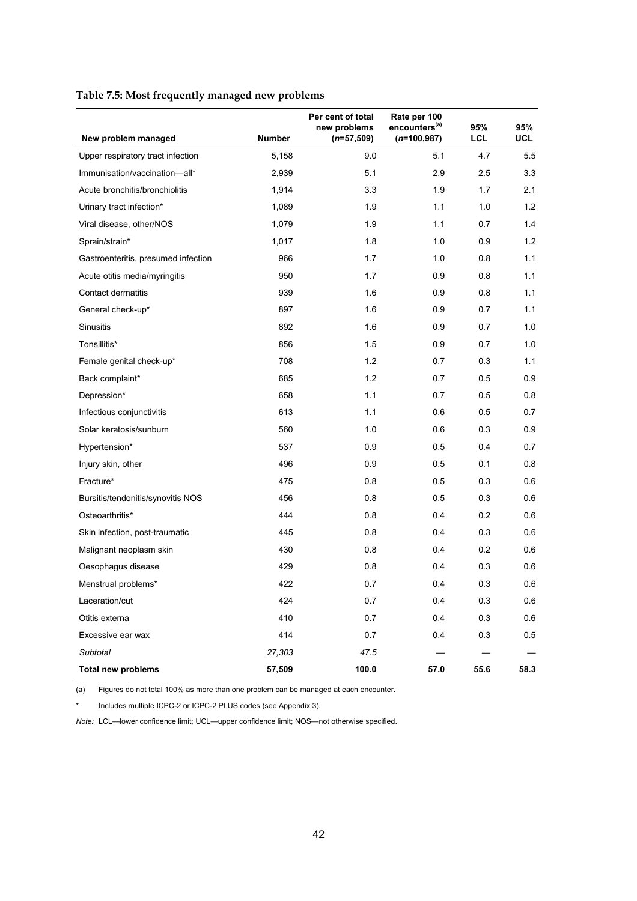| Table 7.5: Most frequently managed new problems |  |  |
|-------------------------------------------------|--|--|
|                                                 |  |  |

|                                     |               | Per cent of total<br>new problems | Rate per 100<br>encounters <sup>(a)</sup> | 95%        | 95%        |
|-------------------------------------|---------------|-----------------------------------|-------------------------------------------|------------|------------|
| New problem managed                 | <b>Number</b> | $(n=57,509)$                      | $(n=100, 987)$                            | <b>LCL</b> | <b>UCL</b> |
| Upper respiratory tract infection   | 5,158         | 9.0                               | 5.1                                       | 4.7        | 5.5        |
| Immunisation/vaccination-all*       | 2,939         | 5.1                               | 2.9                                       | 2.5        | 3.3        |
| Acute bronchitis/bronchiolitis      | 1,914         | 3.3                               | 1.9                                       | 1.7        | 2.1        |
| Urinary tract infection*            | 1,089         | 1.9                               | 1.1                                       | 1.0        | 1.2        |
| Viral disease, other/NOS            | 1,079         | 1.9                               | 1.1                                       | 0.7        | 1.4        |
| Sprain/strain*                      | 1,017         | 1.8                               | 1.0                                       | 0.9        | 1.2        |
| Gastroenteritis, presumed infection | 966           | 1.7                               | 1.0                                       | 0.8        | 1.1        |
| Acute otitis media/myringitis       | 950           | 1.7                               | 0.9                                       | 0.8        | 1.1        |
| Contact dermatitis                  | 939           | 1.6                               | 0.9                                       | 0.8        | 1.1        |
| General check-up*                   | 897           | 1.6                               | 0.9                                       | 0.7        | 1.1        |
| <b>Sinusitis</b>                    | 892           | 1.6                               | 0.9                                       | 0.7        | 1.0        |
| Tonsillitis*                        | 856           | 1.5                               | 0.9                                       | 0.7        | 1.0        |
| Female genital check-up*            | 708           | 1.2                               | 0.7                                       | 0.3        | 1.1        |
| Back complaint*                     | 685           | 1.2                               | 0.7                                       | 0.5        | 0.9        |
| Depression*                         | 658           | 1.1                               | 0.7                                       | 0.5        | 0.8        |
| Infectious conjunctivitis           | 613           | 1.1                               | 0.6                                       | 0.5        | 0.7        |
| Solar keratosis/sunburn             | 560           | 1.0                               | 0.6                                       | 0.3        | 0.9        |
| Hypertension*                       | 537           | 0.9                               | 0.5                                       | 0.4        | 0.7        |
| Injury skin, other                  | 496           | 0.9                               | 0.5                                       | 0.1        | 0.8        |
| Fracture*                           | 475           | 0.8                               | 0.5                                       | 0.3        | 0.6        |
| Bursitis/tendonitis/synovitis NOS   | 456           | 0.8                               | 0.5                                       | 0.3        | 0.6        |
| Osteoarthritis*                     | 444           | 0.8                               | 0.4                                       | 0.2        | 0.6        |
| Skin infection, post-traumatic      | 445           | 0.8                               | 0.4                                       | 0.3        | 0.6        |
| Malignant neoplasm skin             | 430           | 0.8                               | 0.4                                       | 0.2        | 0.6        |
| Oesophagus disease                  | 429           | 0.8                               | 0.4                                       | 0.3        | 0.6        |
| Menstrual problems*                 | 422           | 0.7                               | 0.4                                       | 0.3        | 0.6        |
| Laceration/cut                      | 424           | 0.7                               | 0.4                                       | 0.3        | 0.6        |
| Otitis externa                      | 410           | 0.7                               | 0.4                                       | 0.3        | 0.6        |
| Excessive ear wax                   | 414           | 0.7                               | 0.4                                       | 0.3        | 0.5        |
| Subtotal                            | 27,303        | 47.5                              |                                           |            |            |
| <b>Total new problems</b>           | 57,509        | 100.0                             | 57.0                                      | 55.6       | 58.3       |

(a) Figures do not total 100% as more than one problem can be managed at each encounter.

\* Includes multiple ICPC-2 or ICPC-2 PLUS codes (see Appendix 3).

*Note:* LCL—lower confidence limit; UCL—upper confidence limit; NOS—not otherwise specified.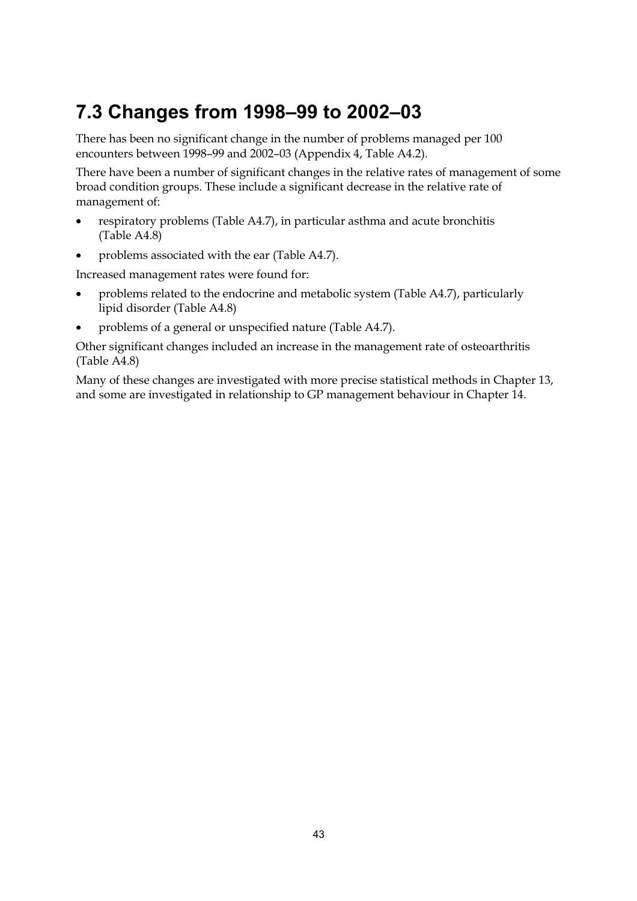# **7.3 Changes from 1998–99 to 2002–03**

There has been no significant change in the number of problems managed per 100 encounters between 1998–99 and 2002–03 (Appendix 4, Table A4.2).

There have been a number of significant changes in the relative rates of management of some broad condition groups. These include a significant decrease in the relative rate of management of:

- respiratory problems (Table A4.7), in particular asthma and acute bronchitis (Table A4.8)
- problems associated with the ear (Table A4.7).

Increased management rates were found for:

- problems related to the endocrine and metabolic system (Table A4.7), particularly lipid disorder (Table A4.8)
- problems of a general or unspecified nature (Table A4.7).

Other significant changes included an increase in the management rate of osteoarthritis (Table A4.8)

Many of these changes are investigated with more precise statistical methods in Chapter 13, and some are investigated in relationship to GP management behaviour in Chapter 14.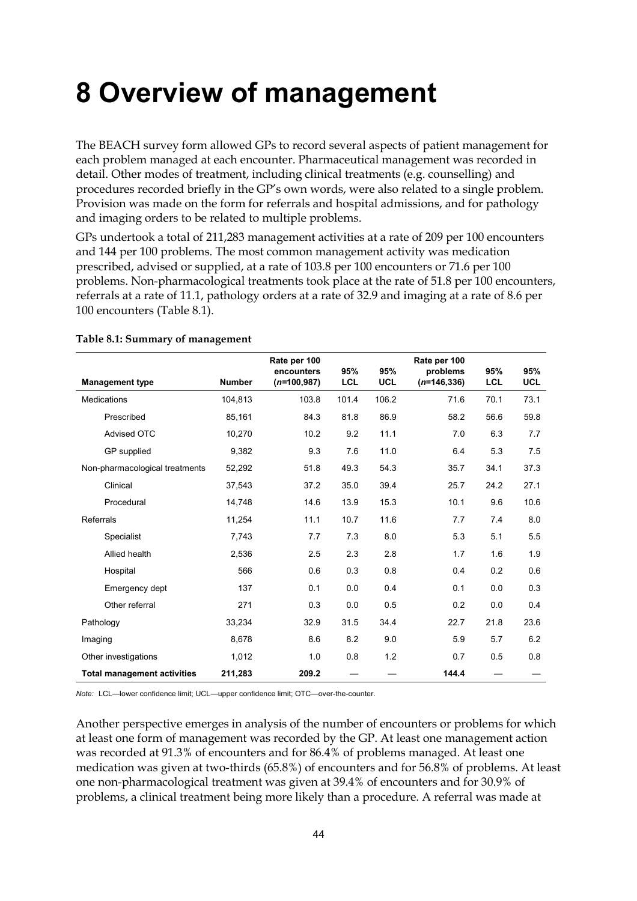# **8 Overview of management**

The BEACH survey form allowed GPs to record several aspects of patient management for each problem managed at each encounter. Pharmaceutical management was recorded in detail. Other modes of treatment, including clinical treatments (e.g. counselling) and procedures recorded briefly in the GP's own words, were also related to a single problem. Provision was made on the form for referrals and hospital admissions, and for pathology and imaging orders to be related to multiple problems.

GPs undertook a total of 211,283 management activities at a rate of 209 per 100 encounters and 144 per 100 problems. The most common management activity was medication prescribed, advised or supplied, at a rate of 103.8 per 100 encounters or 71.6 per 100 problems. Non-pharmacological treatments took place at the rate of 51.8 per 100 encounters, referrals at a rate of 11.1, pathology orders at a rate of 32.9 and imaging at a rate of 8.6 per 100 encounters (Table 8.1).

| <b>Management type</b>             | <b>Number</b> | Rate per 100<br>encounters<br>$(n=100,987)$ | 95%<br>LCL | 95%<br>UCL | Rate per 100<br>problems<br>$(n=146,336)$ | 95%<br><b>LCL</b> | 95%<br><b>UCL</b> |
|------------------------------------|---------------|---------------------------------------------|------------|------------|-------------------------------------------|-------------------|-------------------|
| <b>Medications</b>                 | 104,813       | 103.8                                       | 101.4      | 106.2      | 71.6                                      | 70.1              | 73.1              |
| Prescribed                         | 85,161        | 84.3                                        | 81.8       | 86.9       | 58.2                                      | 56.6              | 59.8              |
| <b>Advised OTC</b>                 | 10,270        | 10.2                                        | 9.2        | 11.1       | 7.0                                       | 6.3               | 7.7               |
| GP supplied                        | 9,382         | 9.3                                         | 7.6        | 11.0       | 6.4                                       | 5.3               | 7.5               |
| Non-pharmacological treatments     | 52,292        | 51.8                                        | 49.3       | 54.3       | 35.7                                      | 34.1              | 37.3              |
| Clinical                           | 37,543        | 37.2                                        | 35.0       | 39.4       | 25.7                                      | 24.2              | 27.1              |
| Procedural                         | 14,748        | 14.6                                        | 13.9       | 15.3       | 10.1                                      | 9.6               | 10.6              |
| Referrals                          | 11,254        | 11.1                                        | 10.7       | 11.6       | 7.7                                       | 7.4               | 8.0               |
| Specialist                         | 7,743         | 7.7                                         | 7.3        | 8.0        | 5.3                                       | 5.1               | 5.5               |
| Allied health                      | 2,536         | 2.5                                         | 2.3        | 2.8        | 1.7                                       | 1.6               | 1.9               |
| Hospital                           | 566           | 0.6                                         | 0.3        | 0.8        | 0.4                                       | 0.2               | 0.6               |
| Emergency dept                     | 137           | 0.1                                         | 0.0        | 0.4        | 0.1                                       | 0.0               | 0.3               |
| Other referral                     | 271           | 0.3                                         | 0.0        | 0.5        | 0.2                                       | 0.0               | 0.4               |
| Pathology                          | 33,234        | 32.9                                        | 31.5       | 34.4       | 22.7                                      | 21.8              | 23.6              |
| Imaging                            | 8,678         | 8.6                                         | 8.2        | 9.0        | 5.9                                       | 5.7               | 6.2               |
| Other investigations               | 1,012         | 1.0                                         | 0.8        | 1.2        | 0.7                                       | 0.5               | 0.8               |
| <b>Total management activities</b> | 211,283       | 209.2                                       |            |            | 144.4                                     |                   |                   |

#### **Table 8.1: Summary of management**

*Note:* LCL—lower confidence limit; UCL—upper confidence limit; OTC—over-the-counter.

Another perspective emerges in analysis of the number of encounters or problems for which at least one form of management was recorded by the GP. At least one management action was recorded at 91.3% of encounters and for 86.4% of problems managed. At least one medication was given at two-thirds (65.8%) of encounters and for 56.8% of problems. At least one non-pharmacological treatment was given at 39.4% of encounters and for 30.9% of problems, a clinical treatment being more likely than a procedure. A referral was made at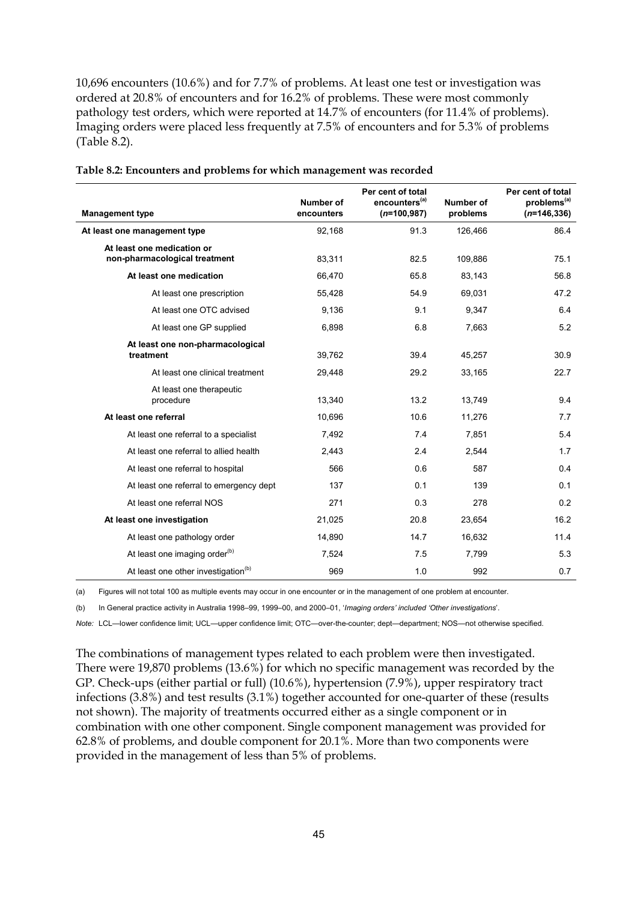10,696 encounters (10.6%) and for 7.7% of problems. At least one test or investigation was ordered at 20.8% of encounters and for 16.2% of problems. These were most commonly pathology test orders, which were reported at 14.7% of encounters (for 11.4% of problems). Imaging orders were placed less frequently at 7.5% of encounters and for 5.3% of problems (Table 8.2).

| <b>Management type</b>                                      | <b>Number of</b><br>encounters | Per cent of total<br>encounters <sup>(a)</sup><br>$(n=100,987)$ | Number of<br>problems | Per cent of total<br>problems <sup>(a)</sup><br>$(n=146, 336)$ |
|-------------------------------------------------------------|--------------------------------|-----------------------------------------------------------------|-----------------------|----------------------------------------------------------------|
| At least one management type                                | 92,168                         | 91.3                                                            | 126,466               | 86.4                                                           |
| At least one medication or<br>non-pharmacological treatment | 83,311                         | 82.5                                                            | 109,886               | 75.1                                                           |
| At least one medication                                     | 66,470                         | 65.8                                                            | 83,143                | 56.8                                                           |
| At least one prescription                                   | 55,428                         | 54.9                                                            | 69,031                | 47.2                                                           |
| At least one OTC advised                                    | 9,136                          | 9.1                                                             | 9,347                 | 6.4                                                            |
| At least one GP supplied                                    | 6,898                          | 6.8                                                             | 7,663                 | 5.2                                                            |
| At least one non-pharmacological<br>treatment               | 39,762                         | 39.4                                                            | 45,257                | 30.9                                                           |
| At least one clinical treatment                             | 29,448                         | 29.2                                                            | 33,165                | 22.7                                                           |
| At least one therapeutic<br>procedure                       | 13,340                         | 13.2                                                            | 13,749                | 9.4                                                            |
| At least one referral                                       | 10,696                         | 10.6                                                            | 11,276                | 7.7                                                            |
| At least one referral to a specialist                       | 7,492                          | 7.4                                                             | 7,851                 | 5.4                                                            |
| At least one referral to allied health                      | 2,443                          | 2.4                                                             | 2,544                 | 1.7                                                            |
| At least one referral to hospital                           | 566                            | 0.6                                                             | 587                   | 0.4                                                            |
| At least one referral to emergency dept                     | 137                            | 0.1                                                             | 139                   | 0.1                                                            |
| At least one referral NOS                                   | 271                            | 0.3                                                             | 278                   | 0.2                                                            |
| At least one investigation                                  | 21,025                         | 20.8                                                            | 23,654                | 16.2                                                           |
| At least one pathology order                                | 14,890                         | 14.7                                                            | 16.632                | 11.4                                                           |
| At least one imaging order <sup>(b)</sup>                   | 7,524                          | 7.5                                                             | 7,799                 | 5.3                                                            |
| At least one other investigation <sup>(b)</sup>             | 969                            | 1.0                                                             | 992                   | 0.7                                                            |

| Table 8.2: Encounters and problems for which management was recorded |  |  |
|----------------------------------------------------------------------|--|--|
|                                                                      |  |  |

(a) Figures will not total 100 as multiple events may occur in one encounter or in the management of one problem at encounter.

(b) In General practice activity in Australia 1998–99, 1999–00, and 2000–01, '*Imaging orders' included 'Other investigations*'.

*Note:* LCL—lower confidence limit; UCL—upper confidence limit; OTC—over-the-counter; dept—department; NOS—not otherwise specified.

The combinations of management types related to each problem were then investigated. There were 19,870 problems (13.6%) for which no specific management was recorded by the GP. Check-ups (either partial or full) (10.6%), hypertension (7.9%), upper respiratory tract infections (3.8%) and test results (3.1%) together accounted for one-quarter of these (results not shown). The majority of treatments occurred either as a single component or in combination with one other component. Single component management was provided for 62.8% of problems, and double component for 20.1%. More than two components were provided in the management of less than 5% of problems.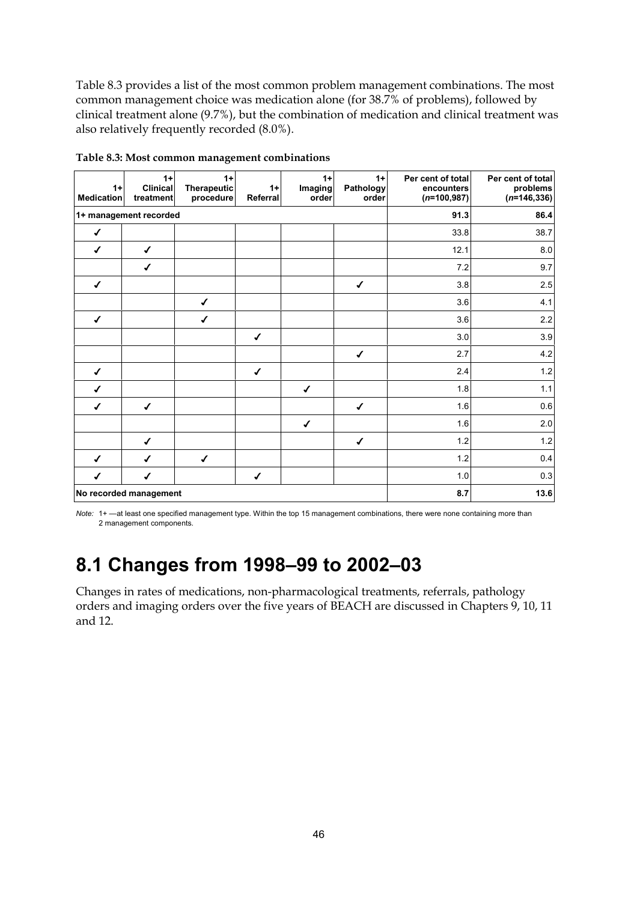Table 8.3 provides a list of the most common problem management combinations. The most common management choice was medication alone (for 38.7% of problems), followed by clinical treatment alone (9.7%), but the combination of medication and clinical treatment was also relatively frequently recorded (8.0%).

| $1+$<br><b>Medication</b> | $1+$<br><b>Clinical</b><br>treatment | $1+$<br><b>Therapeutic</b><br>procedure | $1+$<br>Referral | $1+$<br>Imaging<br>order | $1+$<br><b>Pathology</b><br>order | Per cent of total<br>encounters<br>$(n=100, 987)$ | Per cent of total<br>problems<br>$(n=146, 336)$ |
|---------------------------|--------------------------------------|-----------------------------------------|------------------|--------------------------|-----------------------------------|---------------------------------------------------|-------------------------------------------------|
|                           | 1+ management recorded               |                                         |                  | 91.3                     | 86.4                              |                                                   |                                                 |
| $\checkmark$              |                                      |                                         |                  |                          |                                   | 33.8                                              | 38.7                                            |
| $\checkmark$              | $\checkmark$                         |                                         |                  |                          |                                   | 12.1                                              | $8.0\,$                                         |
|                           | ✔                                    |                                         |                  |                          |                                   | 7.2                                               | 9.7                                             |
| $\checkmark$              |                                      |                                         |                  |                          | $\checkmark$                      | 3.8                                               | 2.5                                             |
|                           |                                      | ✔                                       |                  |                          |                                   | 3.6                                               | 4.1                                             |
| $\checkmark$              |                                      | $\checkmark$                            |                  |                          |                                   | 3.6                                               | $2.2\,$                                         |
|                           |                                      |                                         | $\checkmark$     |                          |                                   | 3.0                                               | $3.9\,$                                         |
|                           |                                      |                                         |                  |                          | $\checkmark$                      | 2.7                                               | $4.2\,$                                         |
| ✔                         |                                      |                                         | ✔                |                          |                                   | 2.4                                               | $1.2\,$                                         |
| ✔                         |                                      |                                         |                  | $\checkmark$             |                                   | 1.8                                               | $1.1$                                           |
| ✔                         | ✔                                    |                                         |                  |                          | $\checkmark$                      | 1.6                                               | $0.6\,$                                         |
|                           |                                      |                                         |                  | $\checkmark$             |                                   | 1.6                                               | $2.0\,$                                         |
|                           | ✔                                    |                                         |                  |                          | $\checkmark$                      | 1.2                                               | $1.2\,$                                         |
| $\checkmark$              | ✔                                    | $\checkmark$                            |                  |                          |                                   | 1.2                                               | 0.4                                             |
| $\checkmark$              | ✔                                    |                                         | $\checkmark$     |                          |                                   | 1.0                                               | 0.3                                             |
|                           | No recorded management               |                                         |                  |                          |                                   | 8.7                                               | 13.6                                            |

**Table 8.3: Most common management combinations**

*Note:* 1+ —at least one specified management type. Within the top 15 management combinations, there were none containing more than 2 management components.

# **8.1 Changes from 1998–99 to 2002–03**

Changes in rates of medications, non-pharmacological treatments, referrals, pathology orders and imaging orders over the five years of BEACH are discussed in Chapters 9, 10, 11 and 12.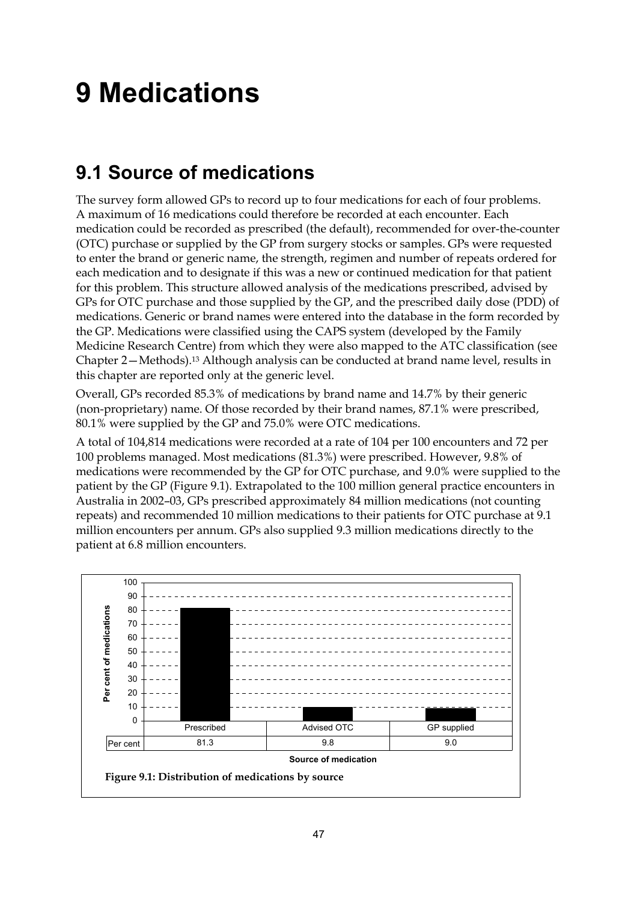# **9 Medications**

# **9.1 Source of medications**

The survey form allowed GPs to record up to four medications for each of four problems. A maximum of 16 medications could therefore be recorded at each encounter. Each medication could be recorded as prescribed (the default), recommended for over-the-counter (OTC) purchase or supplied by the GP from surgery stocks or samples. GPs were requested to enter the brand or generic name, the strength, regimen and number of repeats ordered for each medication and to designate if this was a new or continued medication for that patient for this problem. This structure allowed analysis of the medications prescribed, advised by GPs for OTC purchase and those supplied by the GP, and the prescribed daily dose (PDD) of medications. Generic or brand names were entered into the database in the form recorded by the GP. Medications were classified using the CAPS system (developed by the Family Medicine Research Centre) from which they were also mapped to the ATC classification (see Chapter 2—Methods).13 Although analysis can be conducted at brand name level, results in this chapter are reported only at the generic level.

Overall, GPs recorded 85.3% of medications by brand name and 14.7% by their generic (non-proprietary) name. Of those recorded by their brand names, 87.1% were prescribed, 80.1% were supplied by the GP and 75.0% were OTC medications.

A total of 104,814 medications were recorded at a rate of 104 per 100 encounters and 72 per 100 problems managed. Most medications (81.3%) were prescribed. However, 9.8% of medications were recommended by the GP for OTC purchase, and 9.0% were supplied to the patient by the GP (Figure 9.1). Extrapolated to the 100 million general practice encounters in Australia in 2002–03, GPs prescribed approximately 84 million medications (not counting repeats) and recommended 10 million medications to their patients for OTC purchase at 9.1 million encounters per annum. GPs also supplied 9.3 million medications directly to the patient at 6.8 million encounters.

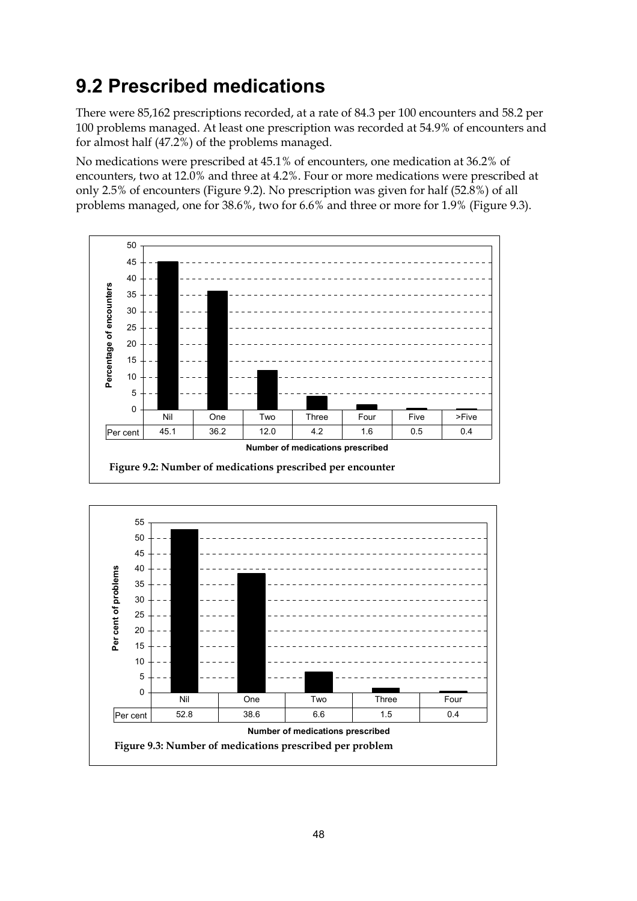# **9.2 Prescribed medications**

There were 85,162 prescriptions recorded, at a rate of 84.3 per 100 encounters and 58.2 per 100 problems managed. At least one prescription was recorded at 54.9% of encounters and for almost half (47.2%) of the problems managed.

No medications were prescribed at 45.1% of encounters, one medication at 36.2% of encounters, two at 12.0% and three at 4.2%. Four or more medications were prescribed at only 2.5% of encounters (Figure 9.2). No prescription was given for half (52.8%) of all problems managed, one for 38.6%, two for 6.6% and three or more for 1.9% (Figure 9.3).



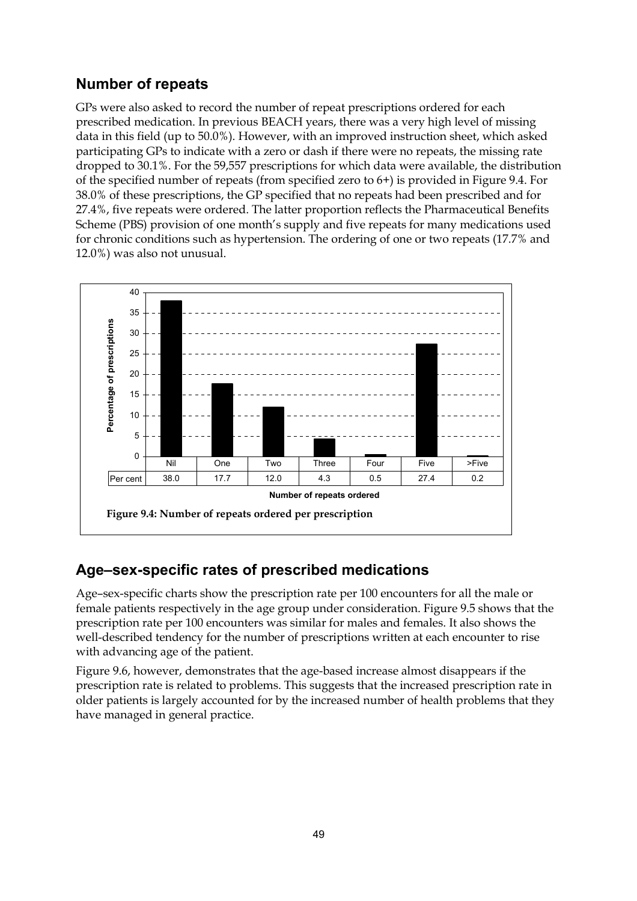### **Number of repeats**

GPs were also asked to record the number of repeat prescriptions ordered for each prescribed medication. In previous BEACH years, there was a very high level of missing data in this field (up to 50.0%). However, with an improved instruction sheet, which asked participating GPs to indicate with a zero or dash if there were no repeats, the missing rate dropped to 30.1%. For the 59,557 prescriptions for which data were available, the distribution of the specified number of repeats (from specified zero to 6+) is provided in Figure 9.4. For 38.0% of these prescriptions, the GP specified that no repeats had been prescribed and for 27.4%, five repeats were ordered. The latter proportion reflects the Pharmaceutical Benefits Scheme (PBS) provision of one month's supply and five repeats for many medications used for chronic conditions such as hypertension. The ordering of one or two repeats (17.7% and 12.0%) was also not unusual.



### **Age–sex-specific rates of prescribed medications**

Age–sex-specific charts show the prescription rate per 100 encounters for all the male or female patients respectively in the age group under consideration. Figure 9.5 shows that the prescription rate per 100 encounters was similar for males and females. It also shows the well-described tendency for the number of prescriptions written at each encounter to rise with advancing age of the patient.

Figure 9.6, however, demonstrates that the age-based increase almost disappears if the prescription rate is related to problems. This suggests that the increased prescription rate in older patients is largely accounted for by the increased number of health problems that they have managed in general practice.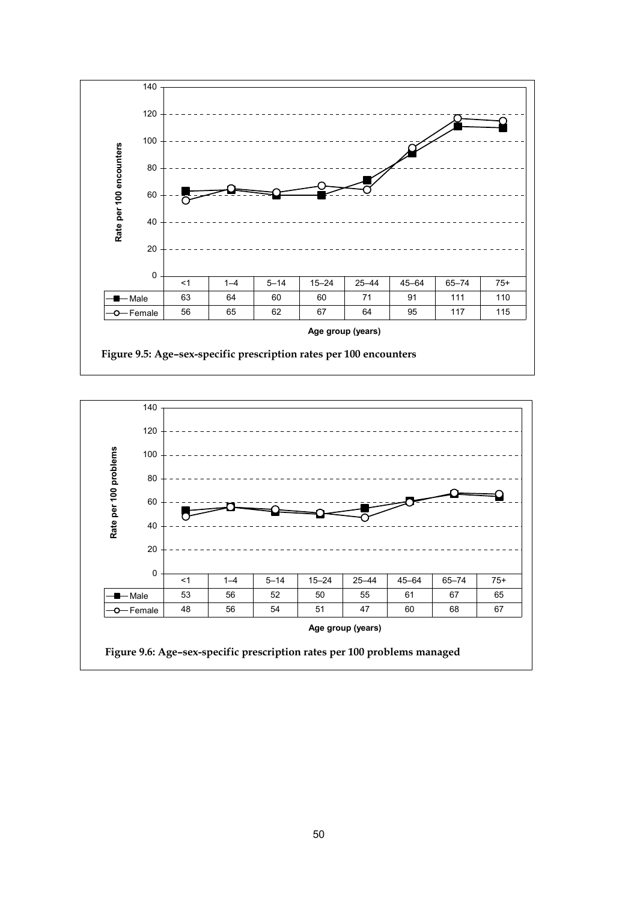

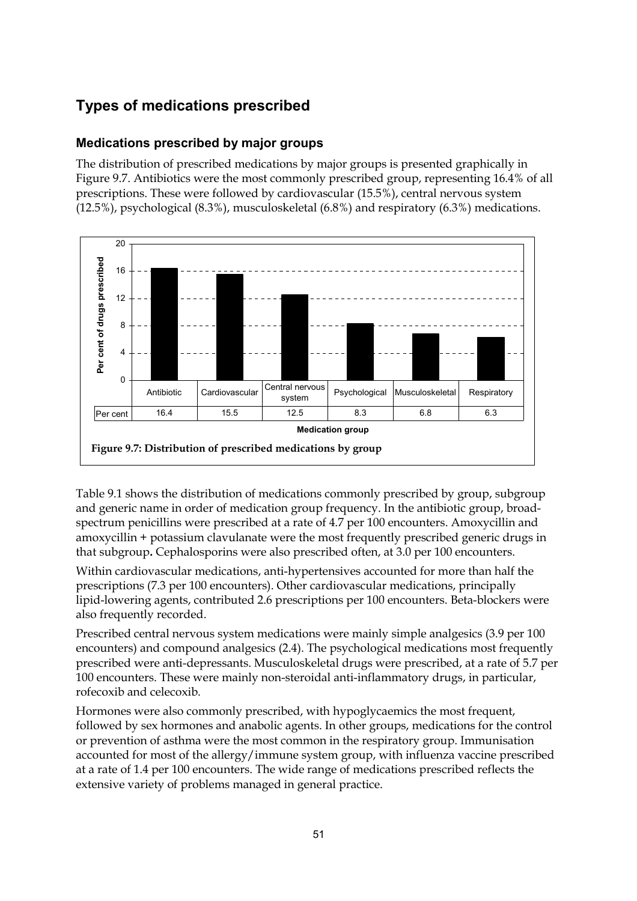## **Types of medications prescribed**

### **Medications prescribed by major groups**

The distribution of prescribed medications by major groups is presented graphically in Figure 9.7. Antibiotics were the most commonly prescribed group, representing 16.4% of all prescriptions. These were followed by cardiovascular (15.5%), central nervous system (12.5%), psychological (8.3%), musculoskeletal (6.8%) and respiratory (6.3%) medications.



Table 9.1 shows the distribution of medications commonly prescribed by group, subgroup and generic name in order of medication group frequency. In the antibiotic group, broadspectrum penicillins were prescribed at a rate of 4.7 per 100 encounters. Amoxycillin and amoxycillin + potassium clavulanate were the most frequently prescribed generic drugs in that subgroup**.** Cephalosporins were also prescribed often, at 3.0 per 100 encounters.

Within cardiovascular medications, anti-hypertensives accounted for more than half the prescriptions (7.3 per 100 encounters). Other cardiovascular medications, principally lipid-lowering agents, contributed 2.6 prescriptions per 100 encounters. Beta-blockers were also frequently recorded.

Prescribed central nervous system medications were mainly simple analgesics (3.9 per 100 encounters) and compound analgesics (2.4). The psychological medications most frequently prescribed were anti-depressants. Musculoskeletal drugs were prescribed, at a rate of 5.7 per 100 encounters. These were mainly non-steroidal anti-inflammatory drugs, in particular, rofecoxib and celecoxib.

Hormones were also commonly prescribed, with hypoglycaemics the most frequent, followed by sex hormones and anabolic agents. In other groups, medications for the control or prevention of asthma were the most common in the respiratory group. Immunisation accounted for most of the allergy/immune system group, with influenza vaccine prescribed at a rate of 1.4 per 100 encounters. The wide range of medications prescribed reflects the extensive variety of problems managed in general practice.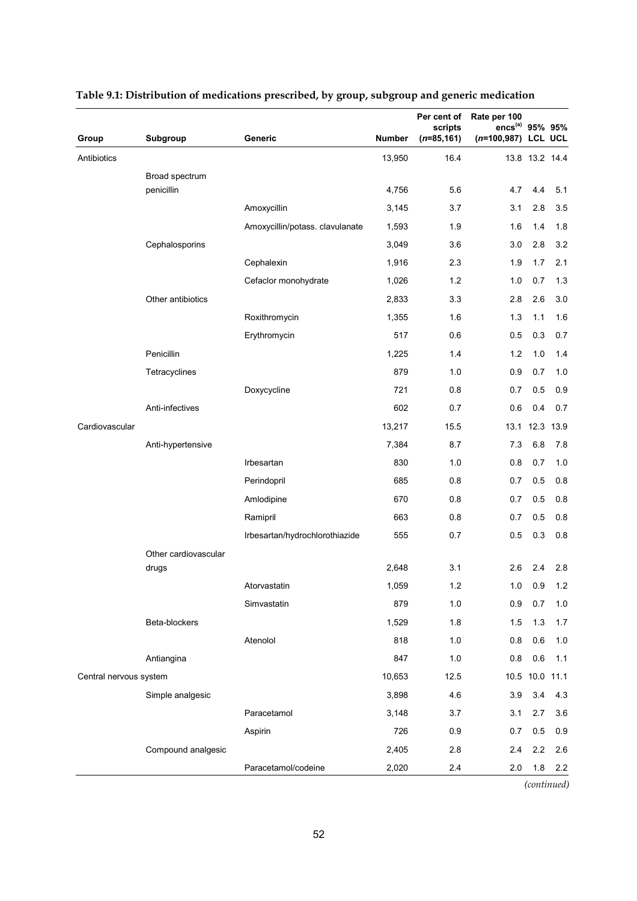|                        |                              |                                 |                | Per cent of<br>scripts | Rate per 100<br>$encs^{(a)}$ | 95% 95%        |       |
|------------------------|------------------------------|---------------------------------|----------------|------------------------|------------------------------|----------------|-------|
| Group                  | Subgroup                     | Generic                         | Number         | $(n=85, 161)$          | $(n=100, 987)$               | <b>LCL UCL</b> |       |
| Antibiotics            |                              |                                 | 13,950         | 16.4                   |                              | 13.8 13.2 14.4 |       |
|                        | Broad spectrum<br>penicillin |                                 | 4,756          | 5.6                    | 4.7                          | 4.4            | 5.1   |
|                        |                              | Amoxycillin                     | 3,145          | 3.7                    | 3.1                          | 2.8            | 3.5   |
|                        |                              | Amoxycillin/potass. clavulanate | 1,593          | 1.9                    | 1.6                          | 1.4            | 1.8   |
|                        | Cephalosporins               |                                 | 3,049          | 3.6                    | 3.0                          | 2.8            | 3.2   |
|                        |                              | Cephalexin                      | 1,916          | 2.3                    | 1.9                          | 1.7            | 2.1   |
|                        |                              | Cefaclor monohydrate            | 1,026          | 1.2                    | 1.0                          | 0.7            | 1.3   |
|                        | Other antibiotics            |                                 |                |                        |                              |                |       |
|                        |                              |                                 | 2,833<br>1,355 | 3.3<br>1.6             | 2.8                          | 2.6            | 3.0   |
|                        |                              | Roxithromycin                   | 517            | 0.6                    | 1.3                          | $1.1$          | 1.6   |
|                        |                              | Erythromycin                    |                |                        | 0.5                          | 0.3            | 0.7   |
|                        | Penicillin                   |                                 | 1,225          | 1.4                    | 1.2                          | 1.0            | 1.4   |
|                        | Tetracyclines                |                                 | 879            | 1.0                    | 0.9                          | 0.7            | 1.0   |
|                        |                              | Doxycycline                     | 721            | 0.8                    | 0.7                          | 0.5            | 0.9   |
|                        | Anti-infectives              |                                 | 602            | 0.7                    | 0.6                          | 0.4            | 0.7   |
| Cardiovascular         |                              |                                 | 13,217         | 15.5                   | 13.1                         | 12.3           | 13.9  |
|                        | Anti-hypertensive            |                                 | 7,384          | 8.7                    | 7.3                          | 6.8            | 7.8   |
|                        |                              | Irbesartan                      | 830            | 1.0                    | 0.8                          | 0.7            | 1.0   |
|                        |                              | Perindopril                     | 685            | 0.8                    | 0.7                          | 0.5            | 0.8   |
|                        |                              | Amlodipine                      | 670            | 0.8                    | 0.7                          | 0.5            | 0.8   |
|                        |                              | Ramipril                        | 663            | 0.8                    | 0.7                          | 0.5            | 0.8   |
|                        |                              | Irbesartan/hydrochlorothiazide  | 555            | 0.7                    | 0.5                          | 0.3            | 0.8   |
|                        | Other cardiovascular         |                                 |                |                        |                              |                |       |
|                        | drugs                        |                                 | 2,648          | 3.1                    | 2.6                          | 2.4            | 2.8   |
|                        |                              | Atorvastatin                    | 1,059          | 1.2                    |                              | $1.0\quad 0.9$ | 1.2   |
|                        |                              | Simvastatin                     | 879            | 1.0                    | 0.9                          | 0.7            | 1.0   |
|                        | Beta-blockers                |                                 | 1,529          | 1.8                    | 1.5                          | 1.3            | 1.7   |
|                        |                              | Atenolol                        | 818            | 1.0                    | 0.8                          | 0.6            | 1.0   |
|                        | Antiangina                   |                                 | 847            | 1.0                    | 0.8                          | 0.6            | $1.1$ |
| Central nervous system |                              |                                 | 10,653         | 12.5                   | 10.5                         | 10.0           | 11.1  |
|                        | Simple analgesic             |                                 | 3,898          | 4.6                    | 3.9                          | 3.4            | 4.3   |
|                        |                              | Paracetamol                     | 3,148          | 3.7                    | 3.1                          | 2.7            | 3.6   |
|                        |                              | Aspirin                         | 726            | 0.9                    | 0.7                          | 0.5            | 0.9   |
|                        | Compound analgesic           |                                 | 2,405          | 2.8                    | 2.4                          | 2.2            | 2.6   |
|                        |                              | Paracetamol/codeine             | 2,020          | 2.4                    | 2.0                          | 1.8            | 2.2   |

### **Table 9.1: Distribution of medications prescribed, by group, subgroup and generic medication**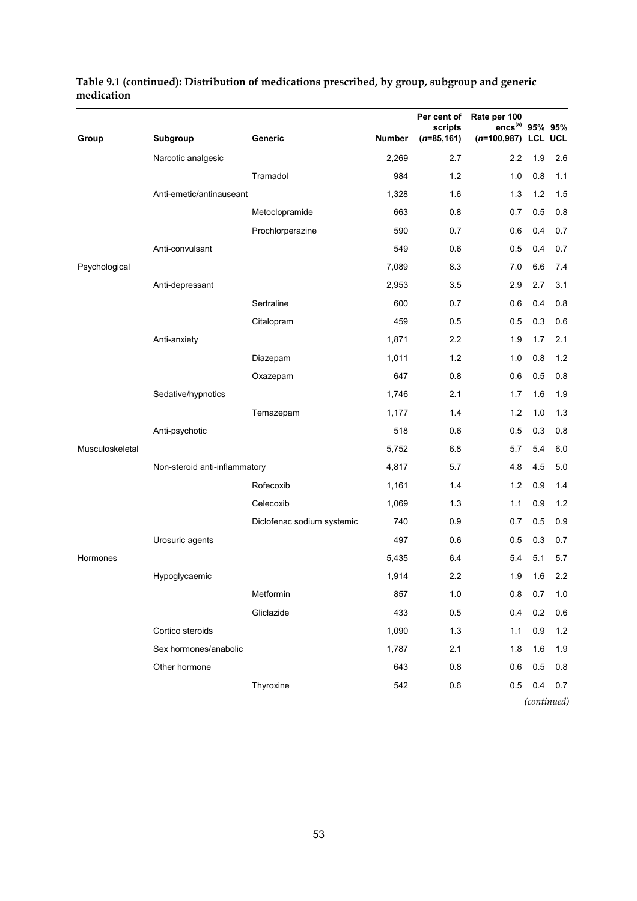|                 |                               |                            |               | Per cent of<br>scripts | Rate per 100<br>$encs^{(a)}$ | 95% 95%        |     |
|-----------------|-------------------------------|----------------------------|---------------|------------------------|------------------------------|----------------|-----|
| Group           | Subgroup                      | Generic                    | <b>Number</b> | $(n=85, 161)$          | $(n=100, 987)$               | <b>LCL UCL</b> |     |
|                 | Narcotic analgesic            |                            | 2,269         | 2.7                    | 2.2                          | 1.9            | 2.6 |
|                 |                               | Tramadol                   | 984           | 1.2                    | 1.0                          | 0.8            | 1.1 |
|                 | Anti-emetic/antinauseant      |                            | 1,328         | 1.6                    | 1.3                          | 1.2            | 1.5 |
|                 |                               | Metoclopramide             | 663           | 0.8                    | 0.7                          | 0.5            | 0.8 |
|                 |                               | Prochlorperazine           | 590           | 0.7                    | 0.6                          | 0.4            | 0.7 |
|                 | Anti-convulsant               |                            | 549           | 0.6                    | 0.5                          | 0.4            | 0.7 |
| Psychological   |                               |                            | 7,089         | 8.3                    | 7.0                          | 6.6            | 7.4 |
|                 | Anti-depressant               |                            | 2,953         | 3.5                    | 2.9                          | 2.7            | 3.1 |
|                 |                               | Sertraline                 | 600           | 0.7                    | 0.6                          | 0.4            | 0.8 |
|                 |                               | Citalopram                 | 459           | 0.5                    | 0.5                          | 0.3            | 0.6 |
|                 | Anti-anxiety                  |                            | 1,871         | 2.2                    | 1.9                          | 1.7            | 2.1 |
|                 |                               | Diazepam                   | 1,011         | 1.2                    | 1.0                          | 0.8            | 1.2 |
|                 |                               | Oxazepam                   | 647           | 0.8                    | 0.6                          | 0.5            | 0.8 |
|                 | Sedative/hypnotics            |                            | 1,746         | 2.1                    | 1.7                          | 1.6            | 1.9 |
|                 |                               | Temazepam                  | 1,177         | 1.4                    | 1.2                          | 1.0            | 1.3 |
|                 | Anti-psychotic                |                            | 518           | 0.6                    | 0.5                          | 0.3            | 0.8 |
| Musculoskeletal |                               |                            | 5,752         | 6.8                    | 5.7                          | 5.4            | 6.0 |
|                 | Non-steroid anti-inflammatory |                            | 4,817         | 5.7                    | 4.8                          | 4.5            | 5.0 |
|                 |                               | Rofecoxib                  | 1,161         | 1.4                    | 1.2                          | 0.9            | 1.4 |
|                 |                               | Celecoxib                  | 1,069         | 1.3                    | 1.1                          | 0.9            | 1.2 |
|                 |                               | Diclofenac sodium systemic | 740           | 0.9                    | 0.7                          | 0.5            | 0.9 |
|                 | Urosuric agents               |                            | 497           | 0.6                    | 0.5                          | 0.3            | 0.7 |
| Hormones        |                               |                            | 5,435         | 6.4                    | 5.4                          | 5.1            | 5.7 |
|                 | Hypoglycaemic                 |                            | 1,914         | 2.2                    | 1.9                          | 1.6            | 2.2 |
|                 |                               | Metformin                  | 857           | $1.0$                  | 0.8                          | 0.7            | 1.0 |
|                 |                               | Gliclazide                 | 433           | 0.5                    | 0.4                          | 0.2            | 0.6 |
|                 | Cortico steroids              |                            | 1,090         | 1.3                    | 1.1                          | 0.9            | 1.2 |
|                 | Sex hormones/anabolic         |                            | 1,787         | 2.1                    | 1.8                          | 1.6            | 1.9 |
|                 | Other hormone                 |                            | 643           | 0.8                    | 0.6                          | 0.5            | 0.8 |
|                 |                               | Thyroxine                  | 542           | 0.6                    | 0.5                          | 0.4            | 0.7 |

#### **Table 9.1 (continued): Distribution of medications prescribed, by group, subgroup and generic medication**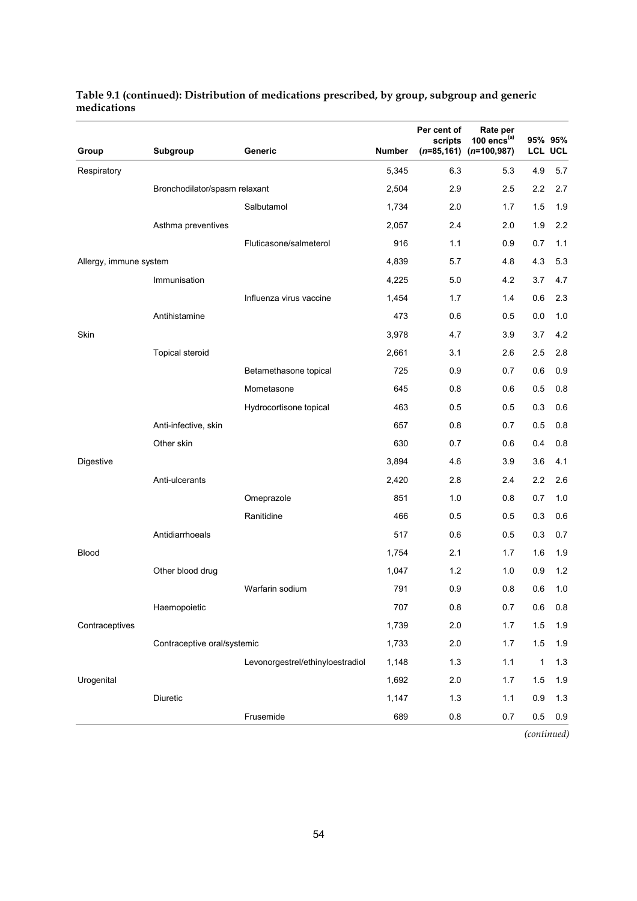|                        |                               | Generic                             | <b>Number</b> | Per cent of<br>scripts<br>$(n=85, 161)$ | Rate per<br>100 encs $(a)$<br>$(n=100, 987)$ |              | 95% 95%<br><b>LCL UCL</b> |
|------------------------|-------------------------------|-------------------------------------|---------------|-----------------------------------------|----------------------------------------------|--------------|---------------------------|
| Group                  | Subgroup                      |                                     |               |                                         |                                              |              |                           |
| Respiratory            |                               |                                     | 5,345         | 6.3                                     | 5.3                                          | 4.9          | 5.7                       |
|                        | Bronchodilator/spasm relaxant |                                     | 2,504         | 2.9                                     | 2.5                                          | 2.2<br>1.5   | 2.7                       |
|                        |                               | Salbutamol                          | 1,734         | 2.0                                     | 1.7                                          |              | 1.9                       |
|                        | Asthma preventives            | Fluticasone/salmeterol              | 2,057<br>916  | 2.4                                     | 2.0                                          | 1.9<br>0.7   | 2.2                       |
|                        |                               |                                     | 4,839         | 1.1<br>5.7                              | 0.9<br>4.8                                   | 4.3          | 1.1<br>5.3                |
| Allergy, immune system | Immunisation                  |                                     | 4,225         | 5.0                                     | 4.2                                          | 3.7          | 4.7                       |
|                        |                               | Influenza virus vaccine             | 1,454         | 1.7                                     |                                              | 0.6          | 2.3                       |
|                        | Antihistamine                 |                                     | 473           | 0.6                                     | 1.4<br>0.5                                   | 0.0          | 1.0                       |
| Skin                   |                               |                                     | 3,978         | 4.7                                     | 3.9                                          | 3.7          | 4.2                       |
|                        |                               |                                     | 2,661         | 3.1                                     | 2.6                                          | 2.5          | 2.8                       |
|                        | <b>Topical steroid</b>        |                                     | 725           | 0.9                                     | 0.7                                          | 0.6          | 0.9                       |
|                        |                               | Betamethasone topical<br>Mometasone | 645           | 0.8                                     | 0.6                                          | 0.5          | 0.8                       |
|                        |                               |                                     | 463           | 0.5                                     | 0.5                                          | 0.3          | 0.6                       |
|                        | Anti-infective, skin          | Hydrocortisone topical              | 657           | 0.8                                     | 0.7                                          | 0.5          | 0.8                       |
|                        | Other skin                    |                                     | 630           | 0.7                                     | 0.6                                          | 0.4          | 0.8                       |
| Digestive              |                               |                                     | 3,894         | 4.6                                     | 3.9                                          | 3.6          | 4.1                       |
|                        | Anti-ulcerants                |                                     | 2,420         | 2.8                                     | 2.4                                          | 2.2          | 2.6                       |
|                        |                               | Omeprazole                          | 851           | 1.0                                     | 0.8                                          | 0.7          | 1.0                       |
|                        |                               | Ranitidine                          | 466           | 0.5                                     | 0.5                                          | 0.3          | 0.6                       |
|                        | Antidiarrhoeals               |                                     | 517           | 0.6                                     | 0.5                                          | 0.3          | 0.7                       |
| <b>Blood</b>           |                               |                                     | 1,754         | 2.1                                     | 1.7                                          | 1.6          | 1.9                       |
|                        | Other blood drug              |                                     | 1,047         | 1.2                                     | 1.0                                          | 0.9          | 1.2                       |
|                        |                               | Warfarin sodium                     | 791           | 0.9                                     | 0.8                                          | 0.6          | 1.0                       |
|                        | Haemopoietic                  |                                     | 707           | 0.8                                     | 0.7                                          | 0.6          | 0.8                       |
| Contraceptives         |                               |                                     | 1,739         | 2.0                                     | 1.7                                          | 1.5          | 1.9                       |
|                        | Contraceptive oral/systemic   |                                     | 1,733         | 2.0                                     | 1.7                                          | $1.5$        | 1.9                       |
|                        |                               | Levonorgestrel/ethinyloestradiol    | 1,148         | 1.3                                     | $1.1$                                        | $\mathbf{1}$ | 1.3                       |
| Urogenital             |                               |                                     | 1,692         | 2.0                                     | 1.7                                          | 1.5          | 1.9                       |
|                        | Diuretic                      |                                     | 1,147         | 1.3                                     | 1.1                                          | 0.9          | 1.3                       |
|                        |                               | Frusemide                           | 689           | $0.8\,$                                 | 0.7                                          | 0.5          | 0.9                       |
|                        |                               |                                     |               |                                         |                                              |              |                           |

#### **Table 9.1 (continued): Distribution of medications prescribed, by group, subgroup and generic medications**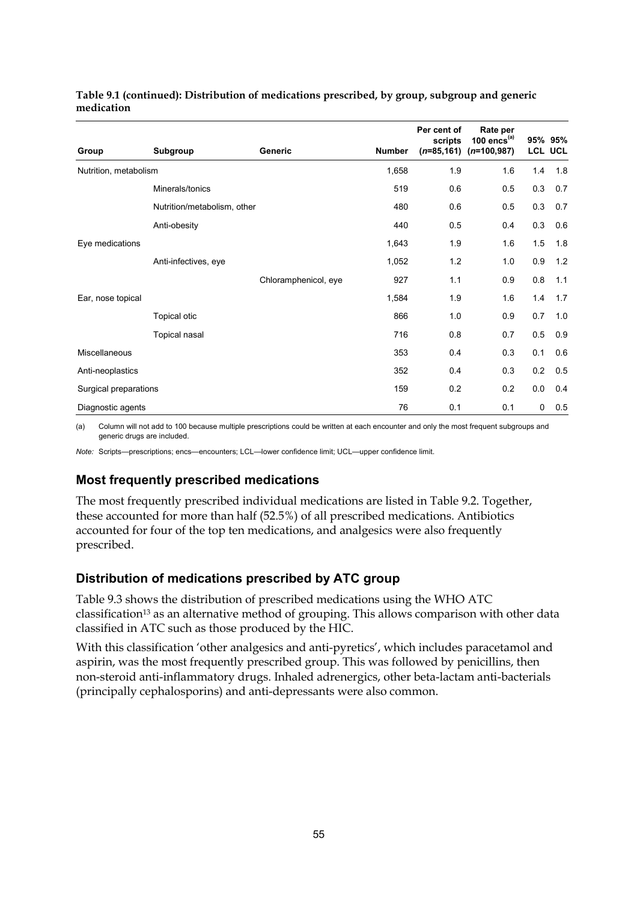| Group                 | Subgroup                    | <b>Generic</b>       | <b>Number</b> | Per cent of<br>scripts<br>$(n=85, 161)$ | Rate per<br>100 $encs^{(a)}$<br>$(n=100,987)$ |     | 95% 95%<br><b>LCL UCL</b> |
|-----------------------|-----------------------------|----------------------|---------------|-----------------------------------------|-----------------------------------------------|-----|---------------------------|
| Nutrition, metabolism |                             |                      | 1,658         | 1.9                                     | 1.6                                           | 1.4 | 1.8                       |
|                       | Minerals/tonics             |                      | 519           | 0.6                                     | 0.5                                           | 0.3 | 0.7                       |
|                       | Nutrition/metabolism, other |                      | 480           | 0.6                                     | 0.5                                           | 0.3 | 0.7                       |
|                       | Anti-obesity                |                      | 440           | 0.5                                     | 0.4                                           | 0.3 | 0.6                       |
| Eye medications       |                             |                      | 1,643         | 1.9                                     | 1.6                                           | 1.5 | 1.8                       |
|                       | Anti-infectives, eye        |                      | 1,052         | 1.2                                     | 1.0                                           | 0.9 | 1.2                       |
|                       |                             | Chloramphenicol, eye | 927           | 1.1                                     | 0.9                                           | 0.8 | 1.1                       |
| Ear, nose topical     |                             |                      | 1,584         | 1.9                                     | 1.6                                           | 1.4 | 1.7                       |
|                       | <b>Topical otic</b>         |                      | 866           | 1.0                                     | 0.9                                           | 0.7 | 1.0                       |
|                       | Topical nasal               |                      | 716           | 0.8                                     | 0.7                                           | 0.5 | 0.9                       |
| Miscellaneous         |                             |                      | 353           | 0.4                                     | 0.3                                           | 0.1 | 0.6                       |
| Anti-neoplastics      |                             |                      | 352           | 0.4                                     | 0.3                                           | 0.2 | 0.5                       |
| Surgical preparations |                             |                      | 159           | 0.2                                     | 0.2                                           | 0.0 | 0.4                       |
| Diagnostic agents     |                             |                      | 76            | 0.1                                     | 0.1                                           | 0   | 0.5                       |

#### **Table 9.1 (continued): Distribution of medications prescribed, by group, subgroup and generic medication**

(a) Column will not add to 100 because multiple prescriptions could be written at each encounter and only the most frequent subgroups and generic drugs are included.

*Note:* Scripts—prescriptions; encs—encounters; LCL—lower confidence limit; UCL—upper confidence limit.

### **Most frequently prescribed medications**

The most frequently prescribed individual medications are listed in Table 9.2. Together, these accounted for more than half (52.5%) of all prescribed medications. Antibiotics accounted for four of the top ten medications, and analgesics were also frequently prescribed.

### **Distribution of medications prescribed by ATC group**

Table 9.3 shows the distribution of prescribed medications using the WHO ATC classification<sup>13</sup> as an alternative method of grouping. This allows comparison with other data classified in ATC such as those produced by the HIC.

With this classification 'other analgesics and anti-pyretics', which includes paracetamol and aspirin, was the most frequently prescribed group. This was followed by penicillins, then non-steroid anti-inflammatory drugs. Inhaled adrenergics, other beta-lactam anti-bacterials (principally cephalosporins) and anti-depressants were also common.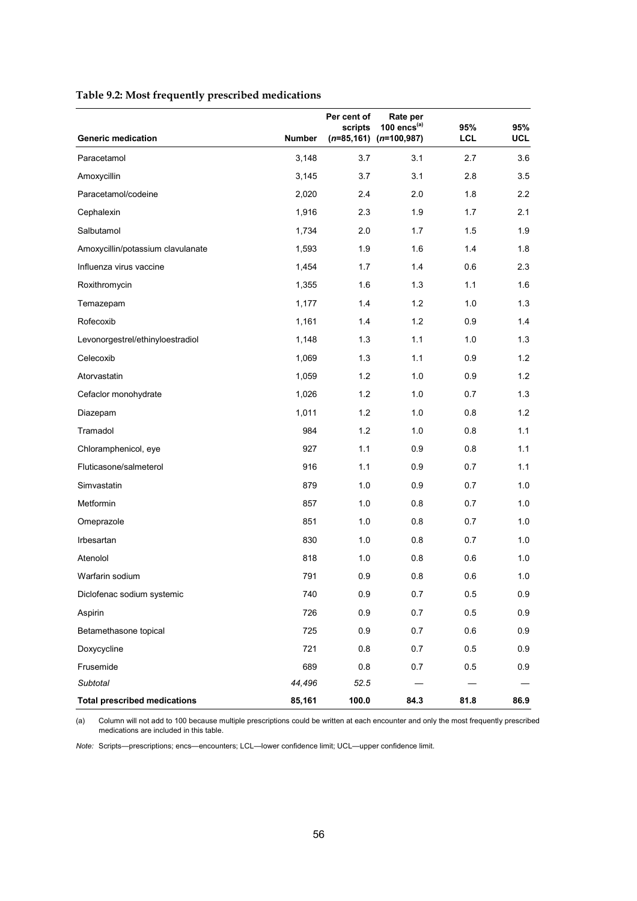|                                     |               | Per cent of<br>scripts | Rate per<br>100 $encs^{(a)}$ | 95%  | 95%  |
|-------------------------------------|---------------|------------------------|------------------------------|------|------|
| <b>Generic medication</b>           | <b>Number</b> |                        | $(n=85, 161)$ $(n=100, 987)$ | LCL  | UCL  |
| Paracetamol                         | 3,148         | 3.7                    | 3.1                          | 2.7  | 3.6  |
| Amoxycillin                         | 3,145         | 3.7                    | 3.1                          | 2.8  | 3.5  |
| Paracetamol/codeine                 | 2,020         | 2.4                    | 2.0                          | 1.8  | 2.2  |
| Cephalexin                          | 1,916         | 2.3                    | 1.9                          | 1.7  | 2.1  |
| Salbutamol                          | 1,734         | 2.0                    | 1.7                          | 1.5  | 1.9  |
| Amoxycillin/potassium clavulanate   | 1,593         | 1.9                    | 1.6                          | 1.4  | 1.8  |
| Influenza virus vaccine             | 1,454         | 1.7                    | 1.4                          | 0.6  | 2.3  |
| Roxithromycin                       | 1,355         | 1.6                    | 1.3                          | 1.1  | 1.6  |
| Temazepam                           | 1,177         | 1.4                    | 1.2                          | 1.0  | 1.3  |
| Rofecoxib                           | 1,161         | 1.4                    | 1.2                          | 0.9  | 1.4  |
| Levonorgestrel/ethinyloestradiol    | 1,148         | 1.3                    | 1.1                          | 1.0  | 1.3  |
| Celecoxib                           | 1,069         | 1.3                    | 1.1                          | 0.9  | 1.2  |
| Atorvastatin                        | 1,059         | 1.2                    | 1.0                          | 0.9  | 1.2  |
| Cefaclor monohydrate                | 1,026         | 1.2                    | 1.0                          | 0.7  | 1.3  |
| Diazepam                            | 1,011         | 1.2                    | 1.0                          | 0.8  | 1.2  |
| Tramadol                            | 984           | 1.2                    | 1.0                          | 0.8  | 1.1  |
| Chloramphenicol, eye                | 927           | 1.1                    | 0.9                          | 0.8  | 1.1  |
| Fluticasone/salmeterol              | 916           | 1.1                    | 0.9                          | 0.7  | 1.1  |
| Simvastatin                         | 879           | 1.0                    | 0.9                          | 0.7  | 1.0  |
| Metformin                           | 857           | 1.0                    | 0.8                          | 0.7  | 1.0  |
| Omeprazole                          | 851           | 1.0                    | 0.8                          | 0.7  | 1.0  |
| Irbesartan                          | 830           | 1.0                    | 0.8                          | 0.7  | 1.0  |
| Atenolol                            | 818           | 1.0                    | 0.8                          | 0.6  | 1.0  |
| Warfarin sodium                     | 791           | 0.9                    | 0.8                          | 0.6  | 1.0  |
| Diclofenac sodium systemic          | 740           | 0.9                    | 0.7                          | 0.5  | 0.9  |
| Aspirin                             | 726           | 0.9                    | 0.7                          | 0.5  | 0.9  |
| Betamethasone topical               | 725           | 0.9                    | 0.7                          | 0.6  | 0.9  |
| Doxycycline                         | 721           | 0.8                    | 0.7                          | 0.5  | 0.9  |
| Frusemide                           | 689           | 0.8                    | 0.7                          | 0.5  | 0.9  |
| Subtotal                            | 44,496        | 52.5                   |                              |      |      |
| <b>Total prescribed medications</b> | 85,161        | 100.0                  | 84.3                         | 81.8 | 86.9 |

(a) Column will not add to 100 because multiple prescriptions could be written at each encounter and only the most frequently prescribed medications are included in this table.

*Note:* Scripts—prescriptions; encs—encounters; LCL—lower confidence limit; UCL—upper confidence limit.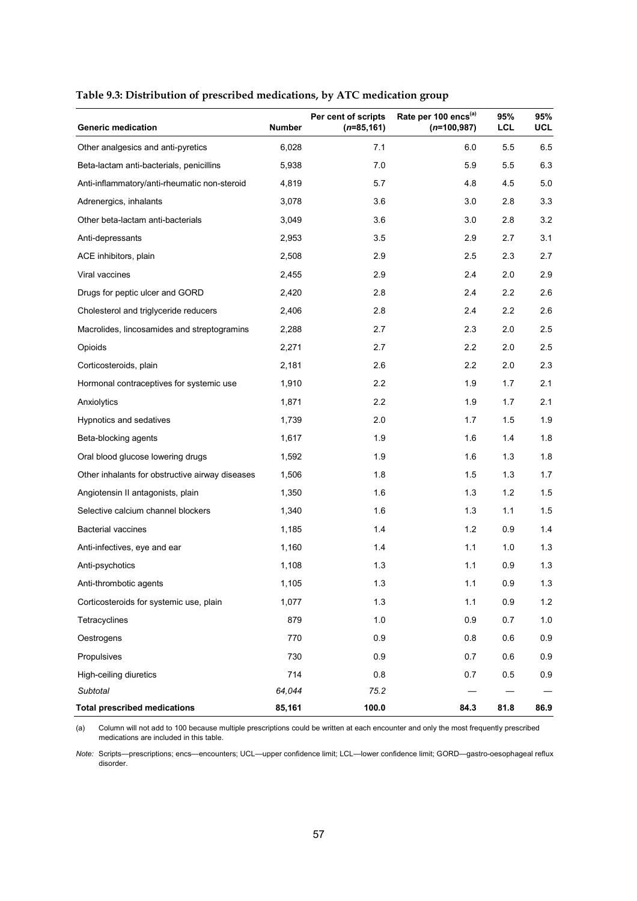| <b>Generic medication</b>                       | <b>Number</b> | Per cent of scripts<br>$(n=85, 161)$ | Rate per 100 encs <sup>(a)</sup><br>$(n=100, 987)$ | 95%<br>LCL | 95%<br><b>UCL</b> |
|-------------------------------------------------|---------------|--------------------------------------|----------------------------------------------------|------------|-------------------|
| Other analgesics and anti-pyretics              | 6,028         | 7.1                                  | 6.0                                                | 5.5        | 6.5               |
| Beta-lactam anti-bacterials, penicillins        | 5,938         | 7.0                                  | 5.9                                                | 5.5        | 6.3               |
| Anti-inflammatory/anti-rheumatic non-steroid    | 4,819         | 5.7                                  | 4.8                                                | 4.5        | 5.0               |
| Adrenergics, inhalants                          | 3,078         | 3.6                                  | 3.0                                                | 2.8        | 3.3               |
| Other beta-lactam anti-bacterials               | 3,049         | 3.6                                  | 3.0                                                | 2.8        | 3.2               |
| Anti-depressants                                | 2,953         | 3.5                                  | 2.9                                                | 2.7        | 3.1               |
| ACE inhibitors, plain                           | 2,508         | 2.9                                  | 2.5                                                | 2.3        | 2.7               |
| Viral vaccines                                  | 2,455         | 2.9                                  | 2.4                                                | 2.0        | 2.9               |
| Drugs for peptic ulcer and GORD                 | 2,420         | 2.8                                  | 2.4                                                | 2.2        | 2.6               |
| Cholesterol and triglyceride reducers           | 2,406         | 2.8                                  | 2.4                                                | 2.2        | 2.6               |
| Macrolides, lincosamides and streptogramins     | 2,288         | 2.7                                  | 2.3                                                | 2.0        | 2.5               |
| Opioids                                         | 2,271         | 2.7                                  | 2.2                                                | 2.0        | 2.5               |
| Corticosteroids, plain                          | 2,181         | 2.6                                  | 2.2                                                | 2.0        | 2.3               |
| Hormonal contraceptives for systemic use        | 1,910         | 2.2                                  | 1.9                                                | 1.7        | 2.1               |
| Anxiolytics                                     | 1,871         | 2.2                                  | 1.9                                                | 1.7        | 2.1               |
| Hypnotics and sedatives                         | 1,739         | 2.0                                  | 1.7                                                | 1.5        | 1.9               |
| Beta-blocking agents                            | 1,617         | 1.9                                  | 1.6                                                | 1.4        | 1.8               |
| Oral blood glucose lowering drugs               | 1,592         | 1.9                                  | 1.6                                                | 1.3        | 1.8               |
| Other inhalants for obstructive airway diseases | 1,506         | 1.8                                  | 1.5                                                | 1.3        | 1.7               |
| Angiotensin II antagonists, plain               | 1,350         | 1.6                                  | 1.3                                                | $1.2$      | 1.5               |
| Selective calcium channel blockers              | 1,340         | 1.6                                  | 1.3                                                | 1.1        | 1.5               |
| <b>Bacterial vaccines</b>                       | 1,185         | 1.4                                  | 1.2                                                | 0.9        | 1.4               |
| Anti-infectives, eye and ear                    | 1,160         | 1.4                                  | 1.1                                                | 1.0        | 1.3               |
| Anti-psychotics                                 | 1,108         | 1.3                                  | 1.1                                                | 0.9        | 1.3               |
| Anti-thrombotic agents                          | 1,105         | 1.3                                  | 1.1                                                | 0.9        | 1.3               |
| Corticosteroids for systemic use, plain         | 1,077         | 1.3                                  | 1.1                                                | 0.9        | 1.2               |
| Tetracyclines                                   | 879           | 1.0                                  | 0.9                                                | 0.7        | $1.0\,$           |
| Oestrogens                                      | 770           | 0.9                                  | 0.8                                                | 0.6        | 0.9               |
| Propulsives                                     | 730           | 0.9                                  | 0.7                                                | 0.6        | 0.9               |
| High-ceiling diuretics                          | 714           | 0.8                                  | 0.7                                                | 0.5        | 0.9               |
| Subtotal                                        | 64,044        | 75.2                                 |                                                    |            |                   |
| <b>Total prescribed medications</b>             | 85,161        | 100.0                                | 84.3                                               | 81.8       | 86.9              |

#### **Table 9.3: Distribution of prescribed medications, by ATC medication group**

(a) Column will not add to 100 because multiple prescriptions could be written at each encounter and only the most frequently prescribed medications are included in this table.

*Note:* Scripts—prescriptions; encs—encounters; UCL—upper confidence limit; LCL—lower confidence limit; GORD—gastro-oesophageal reflux disorder.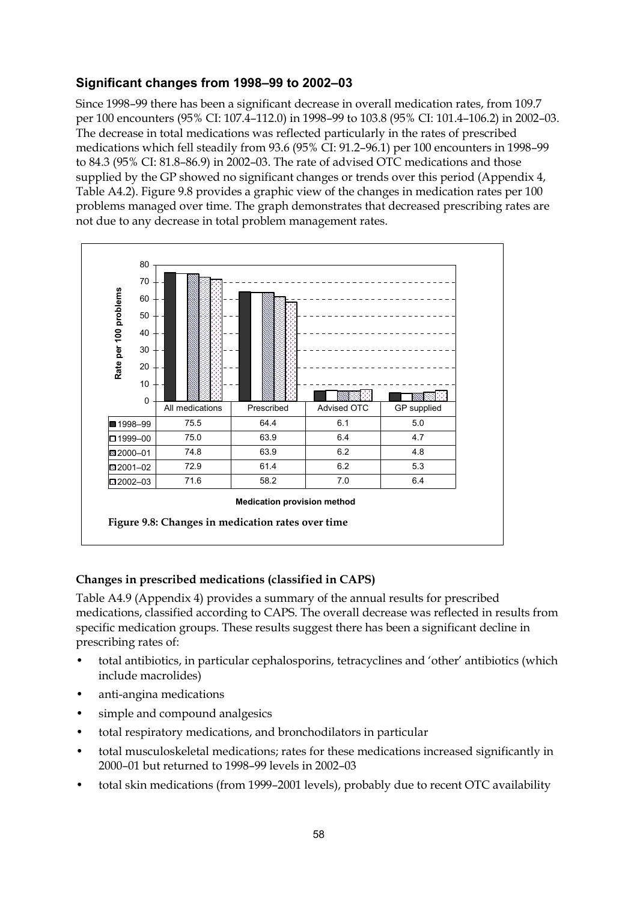### **Significant changes from 1998–99 to 2002–03**

Since 1998–99 there has been a significant decrease in overall medication rates, from 109.7 per 100 encounters (95% CI: 107.4–112.0) in 1998–99 to 103.8 (95% CI: 101.4–106.2) in 2002–03. The decrease in total medications was reflected particularly in the rates of prescribed medications which fell steadily from 93.6 (95% CI: 91.2–96.1) per 100 encounters in 1998–99 to 84.3 (95% CI: 81.8–86.9) in 2002–03. The rate of advised OTC medications and those supplied by the GP showed no significant changes or trends over this period (Appendix 4, Table A4.2). Figure 9.8 provides a graphic view of the changes in medication rates per 100 problems managed over time. The graph demonstrates that decreased prescribing rates are not due to any decrease in total problem management rates.



#### **Changes in prescribed medications (classified in CAPS)**

Table A4.9 (Appendix 4) provides a summary of the annual results for prescribed medications, classified according to CAPS. The overall decrease was reflected in results from specific medication groups. These results suggest there has been a significant decline in prescribing rates of:

- total antibiotics, in particular cephalosporins, tetracyclines and 'other' antibiotics (which include macrolides)
- anti-angina medications
- simple and compound analgesics
- total respiratory medications, and bronchodilators in particular
- total musculoskeletal medications; rates for these medications increased significantly in 2000–01 but returned to 1998–99 levels in 2002–03
- total skin medications (from 1999–2001 levels), probably due to recent OTC availability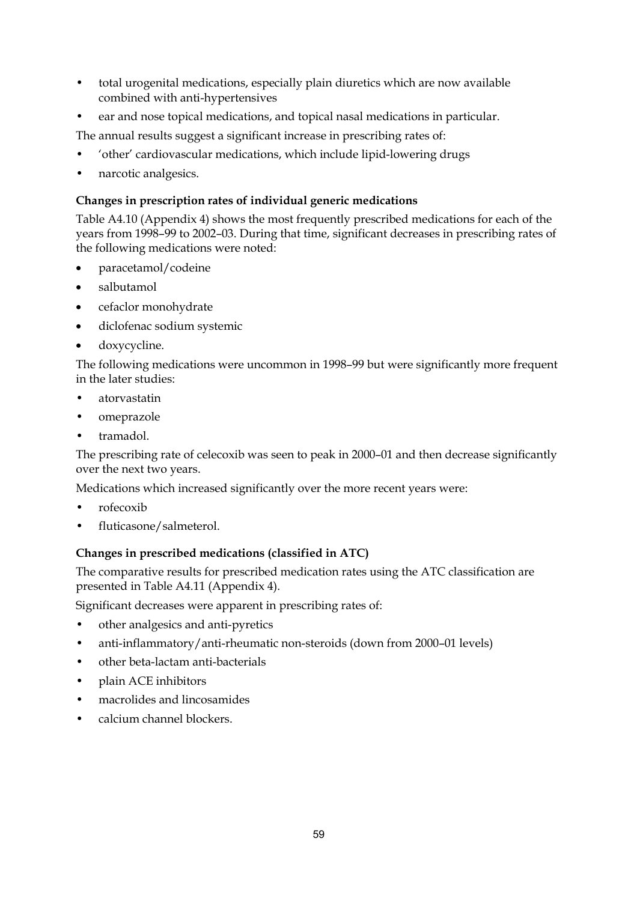- total urogenital medications, especially plain diuretics which are now available combined with anti-hypertensives
- ear and nose topical medications, and topical nasal medications in particular.

The annual results suggest a significant increase in prescribing rates of:

- 'other' cardiovascular medications, which include lipid-lowering drugs
- narcotic analgesics.

#### **Changes in prescription rates of individual generic medications**

Table A4.10 (Appendix 4) shows the most frequently prescribed medications for each of the years from 1998–99 to 2002–03. During that time, significant decreases in prescribing rates of the following medications were noted:

- paracetamol/codeine
- salbutamol
- cefaclor monohydrate
- diclofenac sodium systemic
- doxycycline.

The following medications were uncommon in 1998–99 but were significantly more frequent in the later studies:

- atorvastatin
- omeprazole
- tramadol.

The prescribing rate of celecoxib was seen to peak in 2000–01 and then decrease significantly over the next two years.

Medications which increased significantly over the more recent years were:

- rofecoxib
- fluticasone/salmeterol.

#### **Changes in prescribed medications (classified in ATC)**

The comparative results for prescribed medication rates using the ATC classification are presented in Table A4.11 (Appendix 4).

Significant decreases were apparent in prescribing rates of:

- other analgesics and anti-pyretics
- anti-inflammatory/anti-rheumatic non-steroids (down from 2000–01 levels)
- other beta-lactam anti-bacterials
- plain ACE inhibitors
- macrolides and lincosamides
- calcium channel blockers.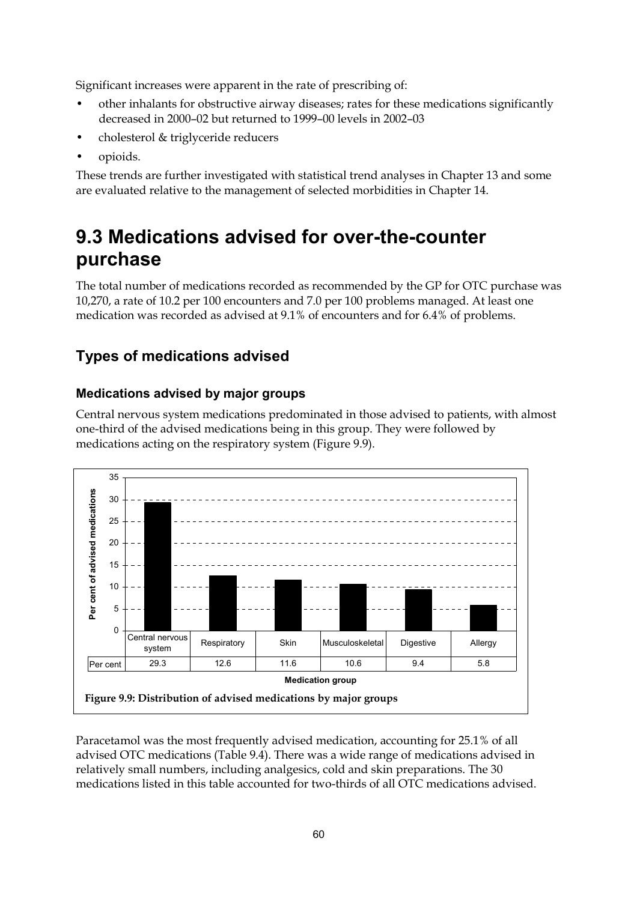Significant increases were apparent in the rate of prescribing of:

- other inhalants for obstructive airway diseases; rates for these medications significantly decreased in 2000–02 but returned to 1999–00 levels in 2002–03
- cholesterol & triglyceride reducers
- opioids.

These trends are further investigated with statistical trend analyses in Chapter 13 and some are evaluated relative to the management of selected morbidities in Chapter 14.

# **9.3 Medications advised for over-the-counter purchase**

The total number of medications recorded as recommended by the GP for OTC purchase was 10,270, a rate of 10.2 per 100 encounters and 7.0 per 100 problems managed. At least one medication was recorded as advised at 9.1% of encounters and for 6.4% of problems.

## **Types of medications advised**

### **Medications advised by major groups**

Central nervous system medications predominated in those advised to patients, with almost one-third of the advised medications being in this group. They were followed by medications acting on the respiratory system (Figure 9.9).



Paracetamol was the most frequently advised medication, accounting for 25.1% of all advised OTC medications (Table 9.4). There was a wide range of medications advised in relatively small numbers, including analgesics, cold and skin preparations. The 30 medications listed in this table accounted for two-thirds of all OTC medications advised.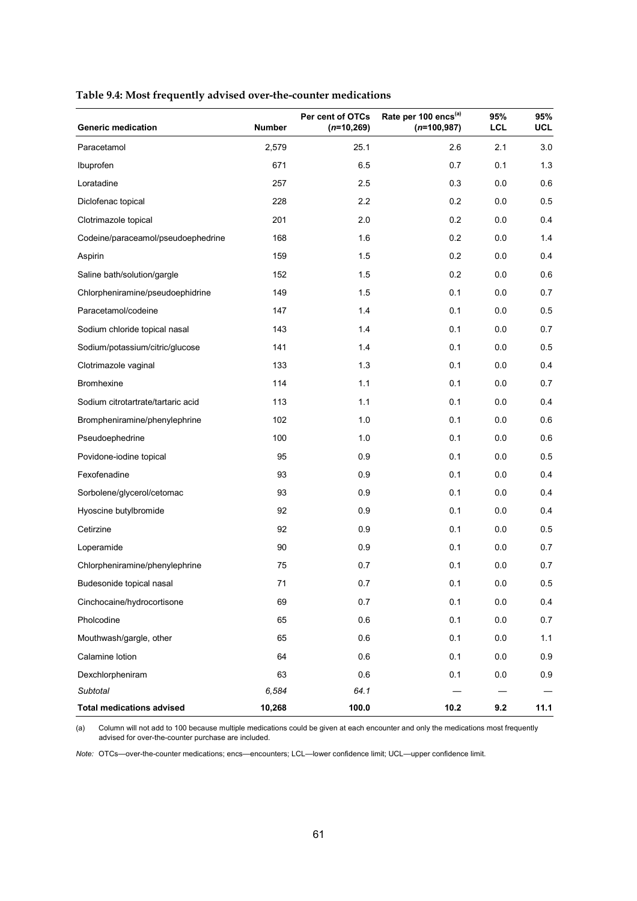| <b>Generic medication</b>          | <b>Number</b> | Per cent of OTCs<br>$(n=10,269)$ | Rate per 100 encs <sup>(a)</sup><br>$(n=100,987)$ | 95%<br><b>LCL</b> | 95%<br><b>UCL</b> |
|------------------------------------|---------------|----------------------------------|---------------------------------------------------|-------------------|-------------------|
| Paracetamol                        | 2,579         | 25.1                             | 2.6                                               | 2.1               | 3.0               |
| Ibuprofen                          | 671           | 6.5                              | 0.7                                               | 0.1               | 1.3               |
| Loratadine                         | 257           | 2.5                              | 0.3                                               | 0.0               | 0.6               |
| Diclofenac topical                 | 228           | 2.2                              | 0.2                                               | 0.0               | 0.5               |
| Clotrimazole topical               | 201           | 2.0                              | 0.2                                               | 0.0               | 0.4               |
| Codeine/paraceamol/pseudoephedrine | 168           | 1.6                              | 0.2                                               | 0.0               | 1.4               |
| Aspirin                            | 159           | 1.5                              | 0.2                                               | 0.0               | 0.4               |
| Saline bath/solution/gargle        | 152           | 1.5                              | 0.2                                               | 0.0               | 0.6               |
| Chlorpheniramine/pseudoephidrine   | 149           | 1.5                              | 0.1                                               | 0.0               | 0.7               |
| Paracetamol/codeine                | 147           | 1.4                              | 0.1                                               | 0.0               | 0.5               |
| Sodium chloride topical nasal      | 143           | 1.4                              | 0.1                                               | 0.0               | 0.7               |
| Sodium/potassium/citric/glucose    | 141           | 1.4                              | 0.1                                               | 0.0               | 0.5               |
| Clotrimazole vaginal               | 133           | 1.3                              | 0.1                                               | 0.0               | 0.4               |
| <b>Bromhexine</b>                  | 114           | 1.1                              | 0.1                                               | 0.0               | 0.7               |
| Sodium citrotartrate/tartaric acid | 113           | 1.1                              | 0.1                                               | 0.0               | 0.4               |
| Brompheniramine/phenylephrine      | 102           | 1.0                              | 0.1                                               | 0.0               | 0.6               |
| Pseudoephedrine                    | 100           | 1.0                              | 0.1                                               | 0.0               | 0.6               |
| Povidone-iodine topical            | 95            | 0.9                              | 0.1                                               | 0.0               | 0.5               |
| Fexofenadine                       | 93            | 0.9                              | 0.1                                               | 0.0               | 0.4               |
| Sorbolene/glycerol/cetomac         | 93            | 0.9                              | 0.1                                               | 0.0               | 0.4               |
| Hyoscine butylbromide              | 92            | 0.9                              | 0.1                                               | 0.0               | 0.4               |
| Cetirzine                          | 92            | 0.9                              | 0.1                                               | 0.0               | 0.5               |
| Loperamide                         | 90            | 0.9                              | 0.1                                               | 0.0               | 0.7               |
| Chlorpheniramine/phenylephrine     | 75            | 0.7                              | 0.1                                               | 0.0               | 0.7               |
| Budesonide topical nasal           | 71            | 0.7                              | 0.1                                               | 0.0               | 0.5               |
| Cinchocaine/hydrocortisone         | 69            | 0.7                              | 0.1                                               | 0.0               | 0.4               |
| Pholcodine                         | 65            | 0.6                              | 0.1                                               | 0.0               | 0.7               |
| Mouthwash/gargle, other            | 65            | 0.6                              | 0.1                                               | 0.0               | 1.1               |
| Calamine lotion                    | 64            | 0.6                              | 0.1                                               | 0.0               | 0.9               |
| Dexchlorpheniram                   | 63            | 0.6                              | 0.1                                               | 0.0               | 0.9               |
| Subtotal                           | 6,584         | 64.1                             |                                                   |                   |                   |
| <b>Total medications advised</b>   | 10,268        | 100.0                            | 10.2                                              | 9.2               | 11.1              |

#### **Table 9.4: Most frequently advised over-the-counter medications**

(a) Column will not add to 100 because multiple medications could be given at each encounter and only the medications most frequently advised for over-the-counter purchase are included.

*Note:* OTCs—over-the-counter medications; encs—encounters; LCL—lower confidence limit; UCL—upper confidence limit.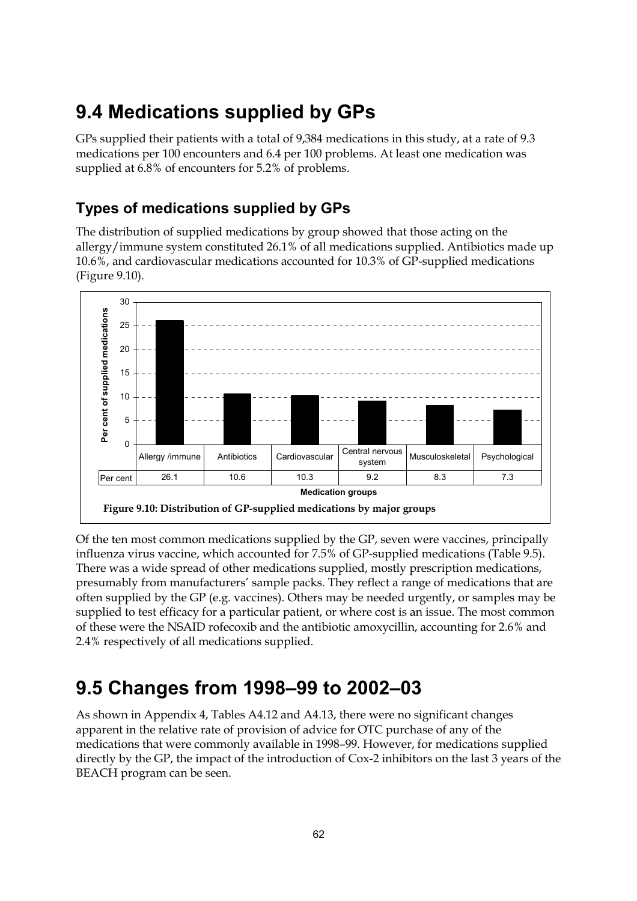# **9.4 Medications supplied by GPs**

GPs supplied their patients with a total of 9,384 medications in this study, at a rate of 9.3 medications per 100 encounters and 6.4 per 100 problems. At least one medication was supplied at 6.8% of encounters for 5.2% of problems.

## **Types of medications supplied by GPs**

The distribution of supplied medications by group showed that those acting on the allergy/immune system constituted 26.1% of all medications supplied. Antibiotics made up 10.6%, and cardiovascular medications accounted for 10.3% of GP-supplied medications (Figure 9.10).



Of the ten most common medications supplied by the GP, seven were vaccines, principally influenza virus vaccine, which accounted for 7.5% of GP-supplied medications (Table 9.5). There was a wide spread of other medications supplied, mostly prescription medications, presumably from manufacturers' sample packs. They reflect a range of medications that are often supplied by the GP (e.g. vaccines). Others may be needed urgently, or samples may be supplied to test efficacy for a particular patient, or where cost is an issue. The most common of these were the NSAID rofecoxib and the antibiotic amoxycillin, accounting for 2.6% and 2.4% respectively of all medications supplied.

# **9.5 Changes from 1998–99 to 2002–03**

As shown in Appendix 4, Tables A4.12 and A4.13, there were no significant changes apparent in the relative rate of provision of advice for OTC purchase of any of the medications that were commonly available in 1998–99. However, for medications supplied directly by the GP, the impact of the introduction of Cox-2 inhibitors on the last 3 years of the BEACH program can be seen.